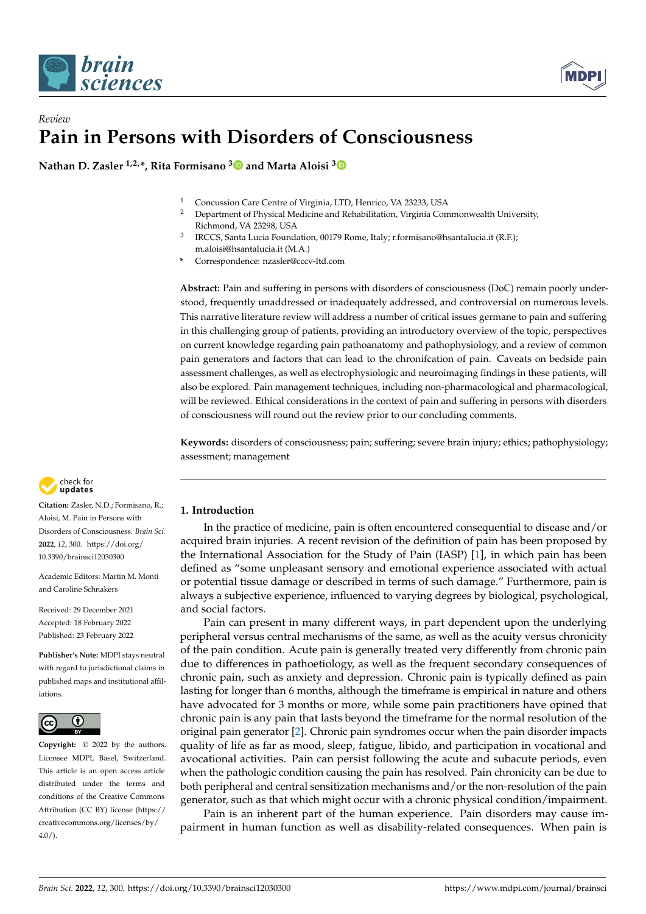



## *Review* **Pain in Persons with Disorders of Consciousness**

**Nathan D. Zasler 1,2,\*, Rita Formisano [3](https://orcid.org/0000-0002-2516-0540) and Marta Aloisi [3](https://orcid.org/0000-0002-8907-5847)**

- <sup>1</sup> Concussion Care Centre of Virginia, LTD, Henrico, VA 23233, USA
	- <sup>2</sup> Department of Physical Medicine and Rehabilitation, Virginia Commonwealth University, Richmond, VA 23298, USA
- 3 IRCCS, Santa Lucia Foundation, 00179 Rome, Italy; r.formisano@hsantalucia.it (R.F.); m.aloisi@hsantalucia.it (M.A.)

**\*** Correspondence: nzasler@cccv-ltd.com

**Abstract:** Pain and suffering in persons with disorders of consciousness (DoC) remain poorly understood, frequently unaddressed or inadequately addressed, and controversial on numerous levels. This narrative literature review will address a number of critical issues germane to pain and suffering in this challenging group of patients, providing an introductory overview of the topic, perspectives on current knowledge regarding pain pathoanatomy and pathophysiology, and a review of common pain generators and factors that can lead to the chronifcation of pain. Caveats on bedside pain assessment challenges, as well as electrophysiologic and neuroimaging findings in these patients, will also be explored. Pain management techniques, including non-pharmacological and pharmacological, will be reviewed. Ethical considerations in the context of pain and suffering in persons with disorders of consciousness will round out the review prior to our concluding comments.

**Keywords:** disorders of consciousness; pain; suffering; severe brain injury; ethics; pathophysiology; assessment; management



**Citation:** Zasler, N.D.; Formisano, R.; Aloisi, M. Pain in Persons with Disorders of Consciousness. *Brain Sci.* **2022**, *12*, 300. [https://doi.org/](https://doi.org/10.3390/brainsci12030300) [10.3390/brainsci12030300](https://doi.org/10.3390/brainsci12030300)

Academic Editors: Martin M. Monti and Caroline Schnakers

Received: 29 December 2021 Accepted: 18 February 2022 Published: 23 February 2022

**Publisher's Note:** MDPI stays neutral with regard to jurisdictional claims in published maps and institutional affiliations.



**Copyright:** © 2022 by the authors. Licensee MDPI, Basel, Switzerland. This article is an open access article distributed under the terms and conditions of the Creative Commons Attribution (CC BY) license [\(https://](https://creativecommons.org/licenses/by/4.0/) [creativecommons.org/licenses/by/](https://creativecommons.org/licenses/by/4.0/)  $4.0/$ ).

### **1. Introduction**

In the practice of medicine, pain is often encountered consequential to disease and/or acquired brain injuries. A recent revision of the definition of pain has been proposed by the International Association for the Study of Pain (IASP) [\[1\]](#page-12-0), in which pain has been defined as "some unpleasant sensory and emotional experience associated with actual or potential tissue damage or described in terms of such damage." Furthermore, pain is always a subjective experience, influenced to varying degrees by biological, psychological, and social factors.

Pain can present in many different ways, in part dependent upon the underlying peripheral versus central mechanisms of the same, as well as the acuity versus chronicity of the pain condition. Acute pain is generally treated very differently from chronic pain due to differences in pathoetiology, as well as the frequent secondary consequences of chronic pain, such as anxiety and depression. Chronic pain is typically defined as pain lasting for longer than 6 months, although the timeframe is empirical in nature and others have advocated for 3 months or more, while some pain practitioners have opined that chronic pain is any pain that lasts beyond the timeframe for the normal resolution of the original pain generator [\[2\]](#page-12-1). Chronic pain syndromes occur when the pain disorder impacts quality of life as far as mood, sleep, fatigue, libido, and participation in vocational and avocational activities. Pain can persist following the acute and subacute periods, even when the pathologic condition causing the pain has resolved. Pain chronicity can be due to both peripheral and central sensitization mechanisms and/or the non-resolution of the pain generator, such as that which might occur with a chronic physical condition/impairment.

Pain is an inherent part of the human experience. Pain disorders may cause impairment in human function as well as disability-related consequences. When pain is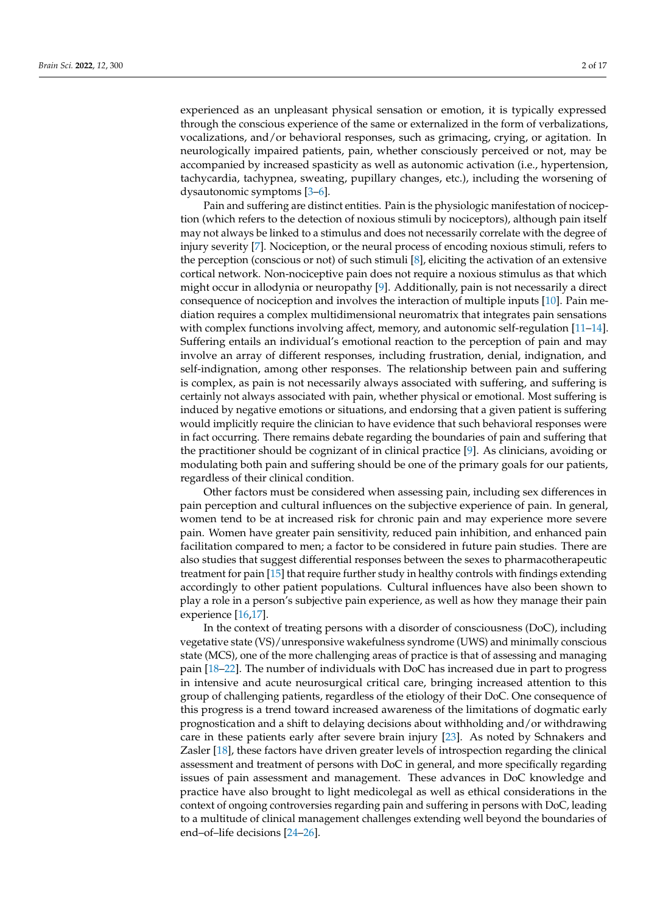experienced as an unpleasant physical sensation or emotion, it is typically expressed through the conscious experience of the same or externalized in the form of verbalizations, vocalizations, and/or behavioral responses, such as grimacing, crying, or agitation. In neurologically impaired patients, pain, whether consciously perceived or not, may be accompanied by increased spasticity as well as autonomic activation (i.e., hypertension, tachycardia, tachypnea, sweating, pupillary changes, etc.), including the worsening of dysautonomic symptoms [\[3–](#page-12-2)[6\]](#page-12-3).

Pain and suffering are distinct entities. Pain is the physiologic manifestation of nociception (which refers to the detection of noxious stimuli by nociceptors), although pain itself may not always be linked to a stimulus and does not necessarily correlate with the degree of injury severity [\[7\]](#page-12-4). Nociception, or the neural process of encoding noxious stimuli, refers to the perception (conscious or not) of such stimuli [\[8\]](#page-12-5), eliciting the activation of an extensive cortical network. Non-nociceptive pain does not require a noxious stimulus as that which might occur in allodynia or neuropathy [\[9\]](#page-12-6). Additionally, pain is not necessarily a direct consequence of nociception and involves the interaction of multiple inputs [\[10\]](#page-12-7). Pain mediation requires a complex multidimensional neuromatrix that integrates pain sensations with complex functions involving affect, memory, and autonomic self-regulation [\[11](#page-12-8)[–14\]](#page-12-9). Suffering entails an individual's emotional reaction to the perception of pain and may involve an array of different responses, including frustration, denial, indignation, and self-indignation, among other responses. The relationship between pain and suffering is complex, as pain is not necessarily always associated with suffering, and suffering is certainly not always associated with pain, whether physical or emotional. Most suffering is induced by negative emotions or situations, and endorsing that a given patient is suffering would implicitly require the clinician to have evidence that such behavioral responses were in fact occurring. There remains debate regarding the boundaries of pain and suffering that the practitioner should be cognizant of in clinical practice [\[9\]](#page-12-6). As clinicians, avoiding or modulating both pain and suffering should be one of the primary goals for our patients, regardless of their clinical condition.

Other factors must be considered when assessing pain, including sex differences in pain perception and cultural influences on the subjective experience of pain. In general, women tend to be at increased risk for chronic pain and may experience more severe pain. Women have greater pain sensitivity, reduced pain inhibition, and enhanced pain facilitation compared to men; a factor to be considered in future pain studies. There are also studies that suggest differential responses between the sexes to pharmacotherapeutic treatment for pain [\[15\]](#page-12-10) that require further study in healthy controls with findings extending accordingly to other patient populations. Cultural influences have also been shown to play a role in a person's subjective pain experience, as well as how they manage their pain experience [\[16](#page-12-11)[,17\]](#page-12-12).

In the context of treating persons with a disorder of consciousness (DoC), including vegetative state (VS)/unresponsive wakefulness syndrome (UWS) and minimally conscious state (MCS), one of the more challenging areas of practice is that of assessing and managing pain [\[18–](#page-12-13)[22\]](#page-12-14). The number of individuals with DoC has increased due in part to progress in intensive and acute neurosurgical critical care, bringing increased attention to this group of challenging patients, regardless of the etiology of their DoC. One consequence of this progress is a trend toward increased awareness of the limitations of dogmatic early prognostication and a shift to delaying decisions about withholding and/or withdrawing care in these patients early after severe brain injury [\[23\]](#page-12-15). As noted by Schnakers and Zasler [\[18\]](#page-12-13), these factors have driven greater levels of introspection regarding the clinical assessment and treatment of persons with DoC in general, and more specifically regarding issues of pain assessment and management. These advances in DoC knowledge and practice have also brought to light medicolegal as well as ethical considerations in the context of ongoing controversies regarding pain and suffering in persons with DoC, leading to a multitude of clinical management challenges extending well beyond the boundaries of end–of–life decisions [\[24–](#page-12-16)[26\]](#page-13-0).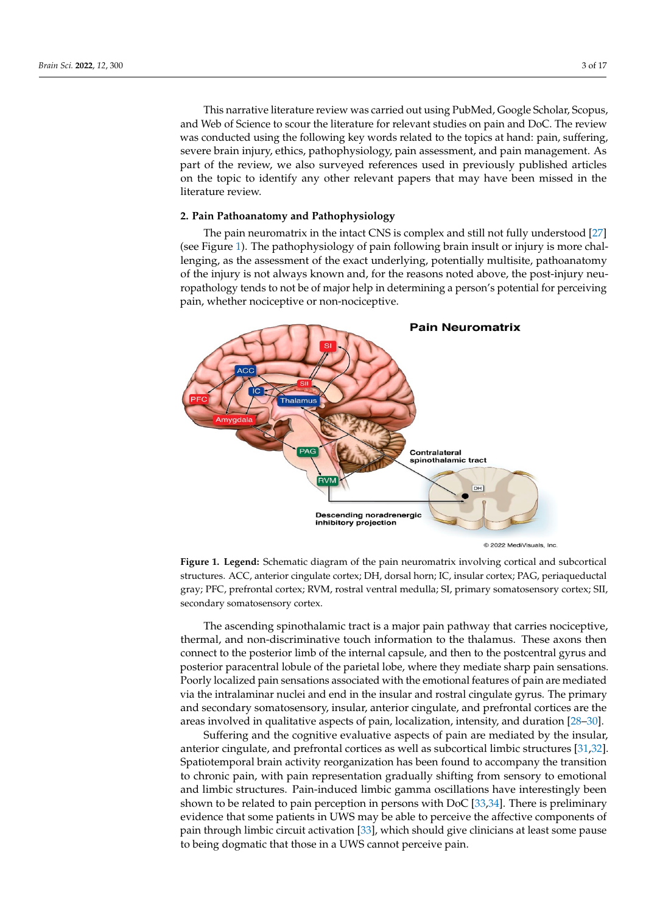This narrative literature review was carried out using PubMed, Google Scholar, Scopus, and Web of Science to scour the literature for relevant studies on pain and DoC. The review was conducted using the following key words related to the topics at hand: pain, suffering, severe brain injury, ethics, pathophysiology, pain assessment, and pain management. As part of the review, we also surveyed references used in previously published articles on the topic to identify any other relevant papers that may have been missed in the literature review.

# **2. Pain Pathoanatomy and Pathophysiology 2. Pain Pathoanatomy and Pathophysiology**

The pain neuromatrix in the intact CNS is complex and still not fully understood [\[27\]](#page-13-1) The pain neuromatrix in the intact CNS is complex and still not fully understood [27] (see Figure [1\)](#page-2-0). The pathophysiology of pain following brain insult or injury is more chal-(see Figure 1). The pathophysiology of pain following brain insult or injury is more challenging, as the assessment of the exact underlying, potentially multisite, pathoanatomy lenging, as the assessment of the exact underlying, potentially multisite, pathoanatomy the injury is not always known and, for the reasons noted above, the post-injury neuropathology tends to not be of major help in determining a person's potential for perceiving thology tends to not be of major help in determining a person's potential for perceiving pain, whether nociceptive or non-nociceptive. pain, whether nociceptive or non-nociceptive.

<span id="page-2-0"></span>

**Figure 1. Legend:** Schematic diagram of the pain neuromatrix involving cortical and subcortical **Figure 1. Legend:** Schematic diagram of the pain neuromatrix involving cortical and subcortical structures. ACC, anterior cingulate cortex; DH, dorsal horn; IC, insular cortex; PAG, periaqueductal structures. ACC, anterior cingulate cortex; DH, dorsal horn; IC, insular cortex; PAG, periaqueductal gray; PFC, prefrontal cortex; RVM, rostral ventral medulla; SI, primary somatosensory cortex; SII, gray; PFC, prefrontal cortex; RVM, rostral ventral medulla; SI, primary somatosensory cortex; SII, secondary somatosensory cortex. secondary somatosensory cortex.

The ascending spinothalamic tract is a major pain pathway that carries nociceptive, The ascending spinothalamic tract is a major pain pathway that carries nociceptive, thermal, and non-discriminative touch information to the thalamus. These axons then connect to the posterior limb of the internal capsule, and then to the postcentral gyrus and then to the postcentral gyrus and posterior paracentral lobule of the parietal lobe, where they mediate sharp pain sensations. Poorly localized pain sensations associated with the emotional features of pain are mediated Poorly localized via the intralaminar nuclei and end in the insular and rostral cingulate gyrus. The primary<br>conditions a large conditions can insular and rostrain city and readers the profession theorem that and secondary somatosensory, insular, anterior cingulate, and prefrontal cordecs are alwareas involved in qualitative aspects of pain, localization, intensity, and duration [\[28–](#page-13-2)[30\]](#page-13-3). and secondary somatosensory, insular, anterior cingulate, and prefrontal cortices are the

 $\frac{1}{20}$  or  $\frac{1}{20}$ . Suffering and the cognitive evaluative aspects of pain are mediated by the insular, durating and the eigentive evaluative aspects of paint are included by the histant,<br>anterior cingulate, and prefrontal cortices as well as subcortical limbic structures [\[31,](#page-13-4)[32\]](#page-13-5). and the congrade, and prefixing correct as well as subcorrect interestinctive  $\left[\frac{\partial f}{\partial x}\right]$ . to chronic pain, with pain representation gradually shifting from sensory to emotional and limbic structures. Pain-induced limbic gamma oscillations have interestingly been and limbic structures. shown to be related to pain perception in persons with DoC [\[33,](#page-13-6)[34\]](#page-13-7). There is preliminary evidence that some patients in UWS may be able to perceive the affective components of pain through limbic circuit activation [\[33\]](#page-13-6), which should give clinicians at least some pause to being dogmatic that those in a UWS cannot perceive pain.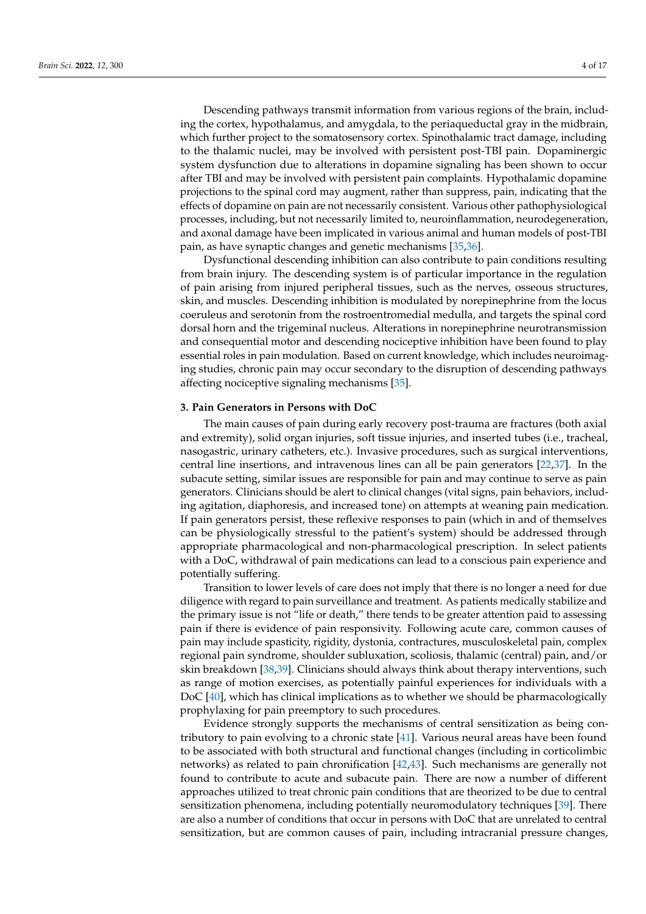Descending pathways transmit information from various regions of the brain, including the cortex, hypothalamus, and amygdala, to the periaqueductal gray in the midbrain, which further project to the somatosensory cortex. Spinothalamic tract damage, including to the thalamic nuclei, may be involved with persistent post-TBI pain. Dopaminergic system dysfunction due to alterations in dopamine signaling has been shown to occur after TBI and may be involved with persistent pain complaints. Hypothalamic dopamine projections to the spinal cord may augment, rather than suppress, pain, indicating that the effects of dopamine on pain are not necessarily consistent. Various other pathophysiological processes, including, but not necessarily limited to, neuroinflammation, neurodegeneration, and axonal damage have been implicated in various animal and human models of post-TBI pain, as have synaptic changes and genetic mechanisms [\[35,](#page-13-8)[36\]](#page-13-9).

Dysfunctional descending inhibition can also contribute to pain conditions resulting from brain injury. The descending system is of particular importance in the regulation of pain arising from injured peripheral tissues, such as the nerves, osseous structures, skin, and muscles. Descending inhibition is modulated by norepinephrine from the locus coeruleus and serotonin from the rostroentromedial medulla, and targets the spinal cord dorsal horn and the trigeminal nucleus. Alterations in norepinephrine neurotransmission and consequential motor and descending nociceptive inhibition have been found to play essential roles in pain modulation. Based on current knowledge, which includes neuroimaging studies, chronic pain may occur secondary to the disruption of descending pathways affecting nociceptive signaling mechanisms [\[35\]](#page-13-8).

#### **3. Pain Generators in Persons with DoC**

The main causes of pain during early recovery post-trauma are fractures (both axial and extremity), solid organ injuries, soft tissue injuries, and inserted tubes (i.e., tracheal, nasogastric, urinary catheters, etc.). Invasive procedures, such as surgical interventions, central line insertions, and intravenous lines can all be pain generators [\[22,](#page-12-14)[37\]](#page-13-10). In the subacute setting, similar issues are responsible for pain and may continue to serve as pain generators. Clinicians should be alert to clinical changes (vital signs, pain behaviors, including agitation, diaphoresis, and increased tone) on attempts at weaning pain medication. If pain generators persist, these reflexive responses to pain (which in and of themselves can be physiologically stressful to the patient's system) should be addressed through appropriate pharmacological and non-pharmacological prescription. In select patients with a DoC, withdrawal of pain medications can lead to a conscious pain experience and potentially suffering.

Transition to lower levels of care does not imply that there is no longer a need for due diligence with regard to pain surveillance and treatment. As patients medically stabilize and the primary issue is not "life or death," there tends to be greater attention paid to assessing pain if there is evidence of pain responsivity. Following acute care, common causes of pain may include spasticity, rigidity, dystonia, contractures, musculoskeletal pain, complex regional pain syndrome, shoulder subluxation, scoliosis, thalamic (central) pain, and/or skin breakdown [\[38](#page-13-11)[,39\]](#page-13-12). Clinicians should always think about therapy interventions, such as range of motion exercises, as potentially painful experiences for individuals with a DoC [\[40\]](#page-13-13), which has clinical implications as to whether we should be pharmacologically prophylaxing for pain preemptory to such procedures.

Evidence strongly supports the mechanisms of central sensitization as being contributory to pain evolving to a chronic state [\[41\]](#page-13-14). Various neural areas have been found to be associated with both structural and functional changes (including in corticolimbic networks) as related to pain chronification [\[42](#page-13-15)[,43\]](#page-13-16). Such mechanisms are generally not found to contribute to acute and subacute pain. There are now a number of different approaches utilized to treat chronic pain conditions that are theorized to be due to central sensitization phenomena, including potentially neuromodulatory techniques [\[39\]](#page-13-12). There are also a number of conditions that occur in persons with DoC that are unrelated to central sensitization, but are common causes of pain, including intracranial pressure changes,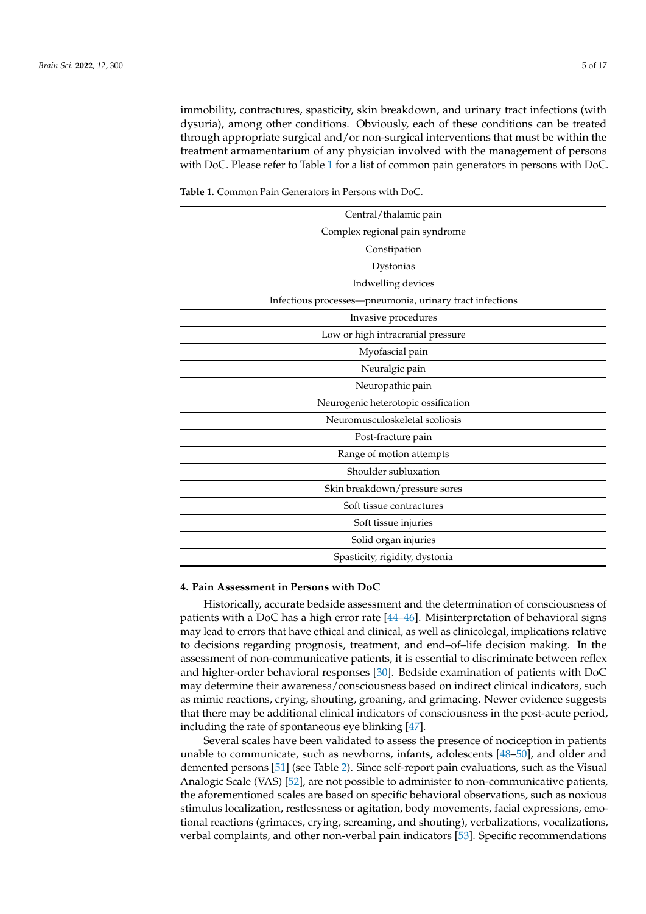immobility, contractures, spasticity, skin breakdown, and urinary tract infections (with dysuria), among other conditions. Obviously, each of these conditions can be treated through appropriate surgical and/or non-surgical interventions that must be within the treatment armamentarium of any physician involved with the management of persons with DoC. Please refer to Table [1](#page-4-0) for a list of common pain generators in persons with DoC.

| Central/thalamic pain                                    |  |
|----------------------------------------------------------|--|
| Complex regional pain syndrome                           |  |
| Constipation                                             |  |
| Dystonias                                                |  |
| Indwelling devices                                       |  |
| Infectious processes-pneumonia, urinary tract infections |  |
| Invasive procedures                                      |  |
| Low or high intracranial pressure                        |  |
| Myofascial pain                                          |  |
| Neuralgic pain                                           |  |
| Neuropathic pain                                         |  |
| Neurogenic heterotopic ossification                      |  |
| Neuromusculoskeletal scoliosis                           |  |
| Post-fracture pain                                       |  |
| Range of motion attempts                                 |  |
| Shoulder subluxation                                     |  |
| Skin breakdown/pressure sores                            |  |
| Soft tissue contractures                                 |  |
| Soft tissue injuries                                     |  |
| Solid organ injuries                                     |  |
| Spasticity, rigidity, dystonia                           |  |

<span id="page-4-0"></span>**Table 1.** Common Pain Generators in Persons with DoC.

#### **4. Pain Assessment in Persons with DoC**

Historically, accurate bedside assessment and the determination of consciousness of patients with a DoC has a high error rate  $[44–46]$  $[44–46]$ . Misinterpretation of behavioral signs may lead to errors that have ethical and clinical, as well as clinicolegal, implications relative to decisions regarding prognosis, treatment, and end–of–life decision making. In the assessment of non-communicative patients, it is essential to discriminate between reflex and higher-order behavioral responses [\[30\]](#page-13-3). Bedside examination of patients with DoC may determine their awareness/consciousness based on indirect clinical indicators, such as mimic reactions, crying, shouting, groaning, and grimacing. Newer evidence suggests that there may be additional clinical indicators of consciousness in the post-acute period, including the rate of spontaneous eye blinking [\[47\]](#page-13-19).

Several scales have been validated to assess the presence of nociception in patients unable to communicate, such as newborns, infants, adolescents [\[48–](#page-13-20)[50\]](#page-13-21), and older and demented persons [\[51\]](#page-13-22) (see Table [2\)](#page-5-0). Since self-report pain evaluations, such as the Visual Analogic Scale (VAS) [\[52\]](#page-13-23), are not possible to administer to non-communicative patients, the aforementioned scales are based on specific behavioral observations, such as noxious stimulus localization, restlessness or agitation, body movements, facial expressions, emotional reactions (grimaces, crying, screaming, and shouting), verbalizations, vocalizations, verbal complaints, and other non-verbal pain indicators [\[53\]](#page-13-24). Specific recommendations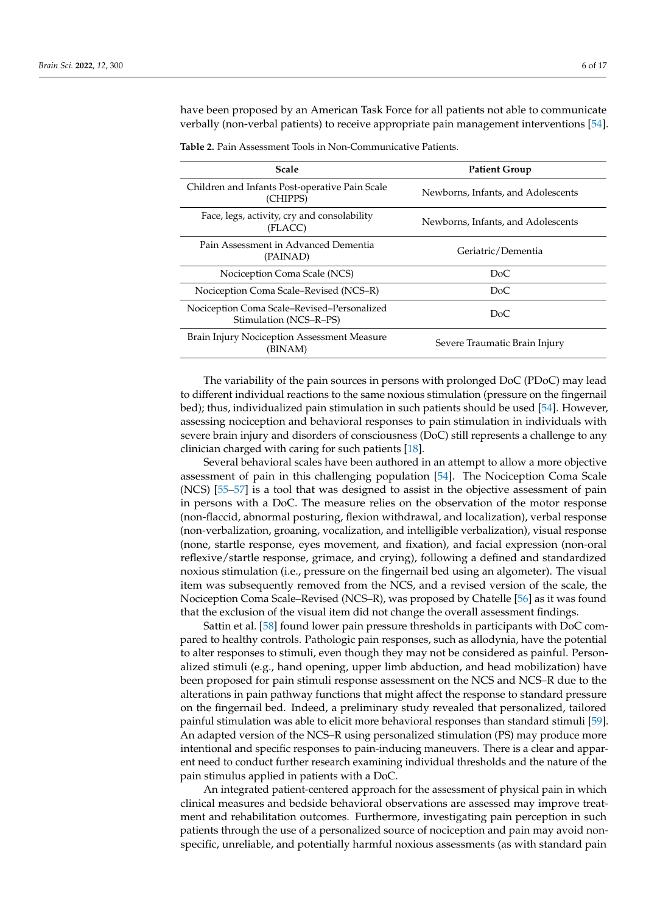have been proposed by an American Task Force for all patients not able to communicate verbally (non-verbal patients) to receive appropriate pain management interventions [\[54\]](#page-14-0).

| <b>Scale</b>                                                          | <b>Patient Group</b>               |
|-----------------------------------------------------------------------|------------------------------------|
| Children and Infants Post-operative Pain Scale<br>(CHIPPS)            | Newborns, Infants, and Adolescents |
| Face, legs, activity, cry and consolability<br>(FLACC)                | Newborns, Infants, and Adolescents |
| Pain Assessment in Advanced Dementia<br>(PAINAD)                      | Geriatric/Dementia                 |
| Nociception Coma Scale (NCS)                                          | DoC                                |
| Nociception Coma Scale–Revised (NCS–R)                                | DoC                                |
| Nociception Coma Scale–Revised–Personalized<br>Stimulation (NCS–R–PS) | DoC                                |
| Brain Injury Nociception Assessment Measure<br>(BINAM)                | Severe Traumatic Brain Injury      |

<span id="page-5-0"></span>**Table 2.** Pain Assessment Tools in Non-Communicative Patients.

The variability of the pain sources in persons with prolonged DoC (PDoC) may lead to different individual reactions to the same noxious stimulation (pressure on the fingernail bed); thus, individualized pain stimulation in such patients should be used [\[54\]](#page-14-0). However, assessing nociception and behavioral responses to pain stimulation in individuals with severe brain injury and disorders of consciousness (DoC) still represents a challenge to any clinician charged with caring for such patients [\[18\]](#page-12-13).

Several behavioral scales have been authored in an attempt to allow a more objective assessment of pain in this challenging population [\[54\]](#page-14-0). The Nociception Coma Scale (NCS) [\[55–](#page-14-1)[57\]](#page-14-2) is a tool that was designed to assist in the objective assessment of pain in persons with a DoC. The measure relies on the observation of the motor response (non-flaccid, abnormal posturing, flexion withdrawal, and localization), verbal response (non-verbalization, groaning, vocalization, and intelligible verbalization), visual response (none, startle response, eyes movement, and fixation), and facial expression (non-oral reflexive/startle response, grimace, and crying), following a defined and standardized noxious stimulation (i.e., pressure on the fingernail bed using an algometer). The visual item was subsequently removed from the NCS, and a revised version of the scale, the Nociception Coma Scale–Revised (NCS–R), was proposed by Chatelle [\[56\]](#page-14-3) as it was found that the exclusion of the visual item did not change the overall assessment findings.

Sattin et al. [\[58\]](#page-14-4) found lower pain pressure thresholds in participants with DoC compared to healthy controls. Pathologic pain responses, such as allodynia, have the potential to alter responses to stimuli, even though they may not be considered as painful. Personalized stimuli (e.g., hand opening, upper limb abduction, and head mobilization) have been proposed for pain stimuli response assessment on the NCS and NCS–R due to the alterations in pain pathway functions that might affect the response to standard pressure on the fingernail bed. Indeed, a preliminary study revealed that personalized, tailored painful stimulation was able to elicit more behavioral responses than standard stimuli [\[59\]](#page-14-5). An adapted version of the NCS–R using personalized stimulation (PS) may produce more intentional and specific responses to pain-inducing maneuvers. There is a clear and apparent need to conduct further research examining individual thresholds and the nature of the pain stimulus applied in patients with a DoC.

An integrated patient-centered approach for the assessment of physical pain in which clinical measures and bedside behavioral observations are assessed may improve treatment and rehabilitation outcomes. Furthermore, investigating pain perception in such patients through the use of a personalized source of nociception and pain may avoid nonspecific, unreliable, and potentially harmful noxious assessments (as with standard pain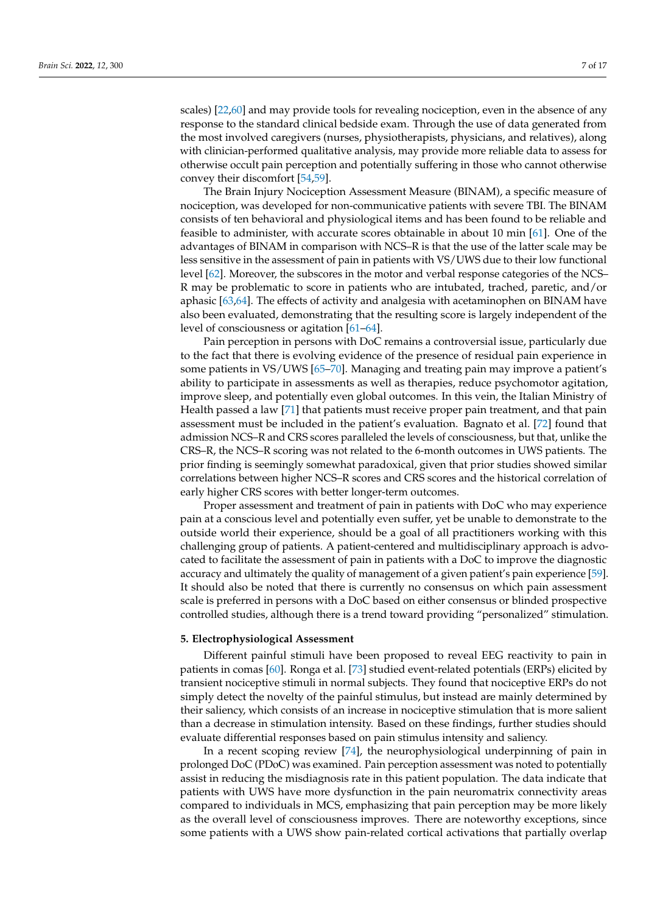scales) [\[22](#page-12-14)[,60\]](#page-14-6) and may provide tools for revealing nociception, even in the absence of any response to the standard clinical bedside exam. Through the use of data generated from the most involved caregivers (nurses, physiotherapists, physicians, and relatives), along with clinician-performed qualitative analysis, may provide more reliable data to assess for otherwise occult pain perception and potentially suffering in those who cannot otherwise convey their discomfort [\[54,](#page-14-0)[59\]](#page-14-5).

The Brain Injury Nociception Assessment Measure (BINAM), a specific measure of nociception, was developed for non-communicative patients with severe TBI. The BINAM consists of ten behavioral and physiological items and has been found to be reliable and feasible to administer, with accurate scores obtainable in about 10 min [\[61\]](#page-14-7). One of the advantages of BINAM in comparison with NCS–R is that the use of the latter scale may be less sensitive in the assessment of pain in patients with VS/UWS due to their low functional level [\[62\]](#page-14-8). Moreover, the subscores in the motor and verbal response categories of the NCS– R may be problematic to score in patients who are intubated, trached, paretic, and/or aphasic [\[63](#page-14-9)[,64\]](#page-14-10). The effects of activity and analgesia with acetaminophen on BINAM have also been evaluated, demonstrating that the resulting score is largely independent of the level of consciousness or agitation [\[61](#page-14-7)[–64\]](#page-14-10).

Pain perception in persons with DoC remains a controversial issue, particularly due to the fact that there is evolving evidence of the presence of residual pain experience in some patients in VS/UWS [\[65–](#page-14-11)[70\]](#page-14-12). Managing and treating pain may improve a patient's ability to participate in assessments as well as therapies, reduce psychomotor agitation, improve sleep, and potentially even global outcomes. In this vein, the Italian Ministry of Health passed a law [\[71\]](#page-14-13) that patients must receive proper pain treatment, and that pain assessment must be included in the patient's evaluation. Bagnato et al. [\[72\]](#page-14-14) found that admission NCS–R and CRS scores paralleled the levels of consciousness, but that, unlike the CRS–R, the NCS–R scoring was not related to the 6-month outcomes in UWS patients. The prior finding is seemingly somewhat paradoxical, given that prior studies showed similar correlations between higher NCS–R scores and CRS scores and the historical correlation of early higher CRS scores with better longer-term outcomes.

Proper assessment and treatment of pain in patients with DoC who may experience pain at a conscious level and potentially even suffer, yet be unable to demonstrate to the outside world their experience, should be a goal of all practitioners working with this challenging group of patients. A patient-centered and multidisciplinary approach is advocated to facilitate the assessment of pain in patients with a DoC to improve the diagnostic accuracy and ultimately the quality of management of a given patient's pain experience [\[59\]](#page-14-5). It should also be noted that there is currently no consensus on which pain assessment scale is preferred in persons with a DoC based on either consensus or blinded prospective controlled studies, although there is a trend toward providing "personalized" stimulation.

#### **5. Electrophysiological Assessment**

Different painful stimuli have been proposed to reveal EEG reactivity to pain in patients in comas [\[60\]](#page-14-6). Ronga et al. [\[73\]](#page-14-15) studied event-related potentials (ERPs) elicited by transient nociceptive stimuli in normal subjects. They found that nociceptive ERPs do not simply detect the novelty of the painful stimulus, but instead are mainly determined by their saliency, which consists of an increase in nociceptive stimulation that is more salient than a decrease in stimulation intensity. Based on these findings, further studies should evaluate differential responses based on pain stimulus intensity and saliency.

In a recent scoping review [\[74\]](#page-14-16), the neurophysiological underpinning of pain in prolonged DoC (PDoC) was examined. Pain perception assessment was noted to potentially assist in reducing the misdiagnosis rate in this patient population. The data indicate that patients with UWS have more dysfunction in the pain neuromatrix connectivity areas compared to individuals in MCS, emphasizing that pain perception may be more likely as the overall level of consciousness improves. There are noteworthy exceptions, since some patients with a UWS show pain-related cortical activations that partially overlap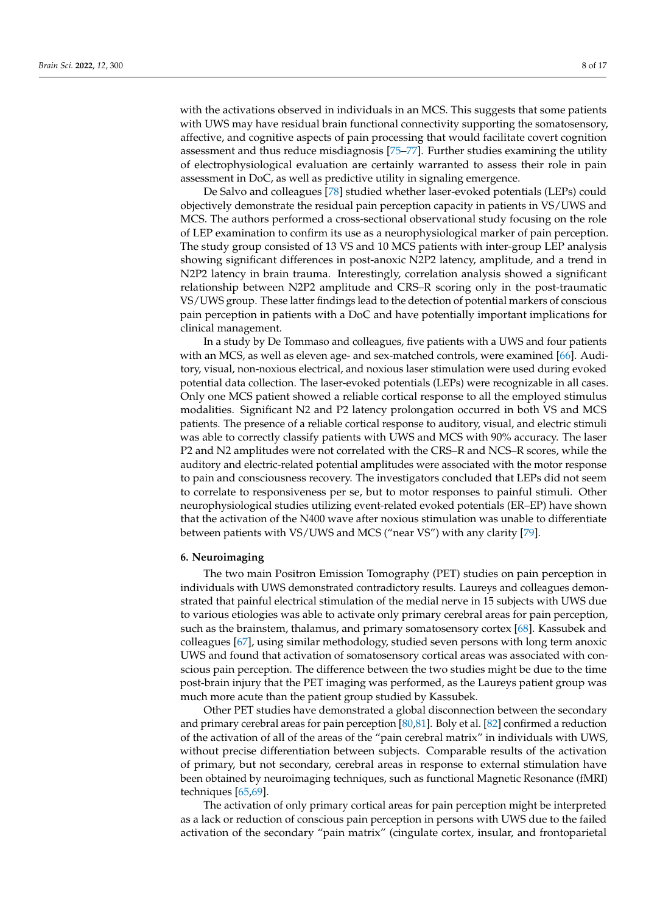with the activations observed in individuals in an MCS. This suggests that some patients with UWS may have residual brain functional connectivity supporting the somatosensory, affective, and cognitive aspects of pain processing that would facilitate covert cognition assessment and thus reduce misdiagnosis [\[75–](#page-14-17)[77\]](#page-14-18). Further studies examining the utility of electrophysiological evaluation are certainly warranted to assess their role in pain assessment in DoC, as well as predictive utility in signaling emergence.

De Salvo and colleagues [\[78\]](#page-14-19) studied whether laser-evoked potentials (LEPs) could objectively demonstrate the residual pain perception capacity in patients in VS/UWS and MCS. The authors performed a cross-sectional observational study focusing on the role of LEP examination to confirm its use as a neurophysiological marker of pain perception. The study group consisted of 13 VS and 10 MCS patients with inter-group LEP analysis showing significant differences in post-anoxic N2P2 latency, amplitude, and a trend in N2P2 latency in brain trauma. Interestingly, correlation analysis showed a significant relationship between N2P2 amplitude and CRS–R scoring only in the post-traumatic VS/UWS group. These latter findings lead to the detection of potential markers of conscious pain perception in patients with a DoC and have potentially important implications for clinical management.

In a study by De Tommaso and colleagues, five patients with a UWS and four patients with an MCS, as well as eleven age- and sex-matched controls, were examined [\[66\]](#page-14-20). Auditory, visual, non-noxious electrical, and noxious laser stimulation were used during evoked potential data collection. The laser-evoked potentials (LEPs) were recognizable in all cases. Only one MCS patient showed a reliable cortical response to all the employed stimulus modalities. Significant N2 and P2 latency prolongation occurred in both VS and MCS patients. The presence of a reliable cortical response to auditory, visual, and electric stimuli was able to correctly classify patients with UWS and MCS with 90% accuracy. The laser P2 and N2 amplitudes were not correlated with the CRS–R and NCS–R scores, while the auditory and electric-related potential amplitudes were associated with the motor response to pain and consciousness recovery. The investigators concluded that LEPs did not seem to correlate to responsiveness per se, but to motor responses to painful stimuli. Other neurophysiological studies utilizing event-related evoked potentials (ER–EP) have shown that the activation of the N400 wave after noxious stimulation was unable to differentiate between patients with VS/UWS and MCS ("near VS") with any clarity [\[79\]](#page-15-0).

#### **6. Neuroimaging**

The two main Positron Emission Tomography (PET) studies on pain perception in individuals with UWS demonstrated contradictory results. Laureys and colleagues demonstrated that painful electrical stimulation of the medial nerve in 15 subjects with UWS due to various etiologies was able to activate only primary cerebral areas for pain perception, such as the brainstem, thalamus, and primary somatosensory cortex [\[68\]](#page-14-21). Kassubek and colleagues [\[67\]](#page-14-22), using similar methodology, studied seven persons with long term anoxic UWS and found that activation of somatosensory cortical areas was associated with conscious pain perception. The difference between the two studies might be due to the time post-brain injury that the PET imaging was performed, as the Laureys patient group was much more acute than the patient group studied by Kassubek.

Other PET studies have demonstrated a global disconnection between the secondary and primary cerebral areas for pain perception [\[80,](#page-15-1)[81\]](#page-15-2). Boly et al. [\[82\]](#page-15-3) confirmed a reduction of the activation of all of the areas of the "pain cerebral matrix" in individuals with UWS, without precise differentiation between subjects. Comparable results of the activation of primary, but not secondary, cerebral areas in response to external stimulation have been obtained by neuroimaging techniques, such as functional Magnetic Resonance (fMRI) techniques [\[65,](#page-14-11)[69\]](#page-14-23).

The activation of only primary cortical areas for pain perception might be interpreted as a lack or reduction of conscious pain perception in persons with UWS due to the failed activation of the secondary "pain matrix" (cingulate cortex, insular, and frontoparietal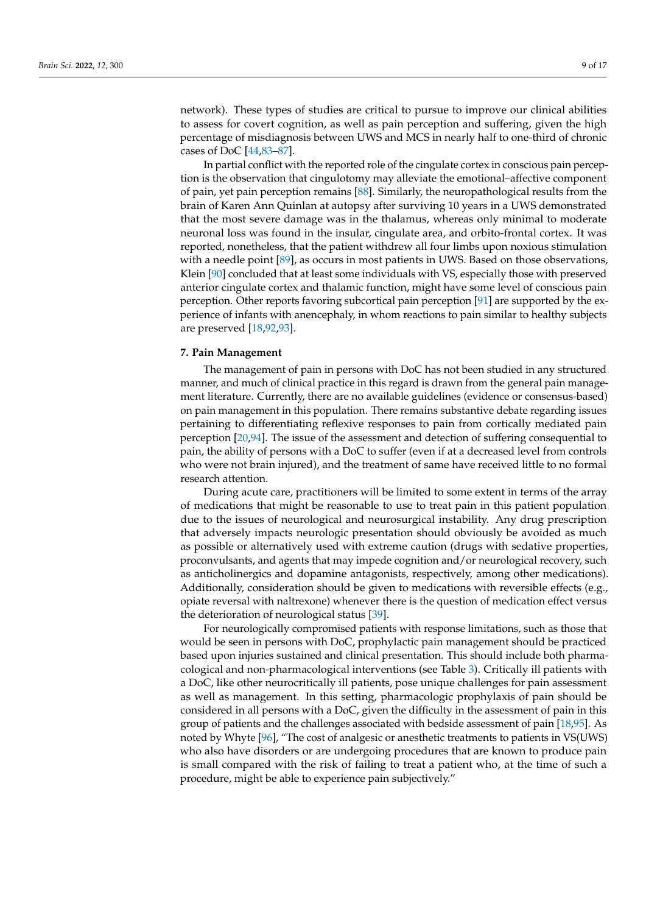network). These types of studies are critical to pursue to improve our clinical abilities to assess for covert cognition, as well as pain perception and suffering, given the high percentage of misdiagnosis between UWS and MCS in nearly half to one-third of chronic cases of DoC [\[44,](#page-13-17)[83](#page-15-4)[–87\]](#page-15-5).

In partial conflict with the reported role of the cingulate cortex in conscious pain perception is the observation that cingulotomy may alleviate the emotional–affective component of pain, yet pain perception remains [\[88\]](#page-15-6). Similarly, the neuropathological results from the brain of Karen Ann Quinlan at autopsy after surviving 10 years in a UWS demonstrated that the most severe damage was in the thalamus, whereas only minimal to moderate neuronal loss was found in the insular, cingulate area, and orbito-frontal cortex. It was reported, nonetheless, that the patient withdrew all four limbs upon noxious stimulation with a needle point [\[89\]](#page-15-7), as occurs in most patients in UWS. Based on those observations, Klein [\[90\]](#page-15-8) concluded that at least some individuals with VS, especially those with preserved anterior cingulate cortex and thalamic function, might have some level of conscious pain perception. Other reports favoring subcortical pain perception [\[91\]](#page-15-9) are supported by the experience of infants with anencephaly, in whom reactions to pain similar to healthy subjects are preserved [\[18,](#page-12-13)[92,](#page-15-10)[93\]](#page-15-11).

#### **7. Pain Management**

The management of pain in persons with DoC has not been studied in any structured manner, and much of clinical practice in this regard is drawn from the general pain management literature. Currently, there are no available guidelines (evidence or consensus-based) on pain management in this population. There remains substantive debate regarding issues pertaining to differentiating reflexive responses to pain from cortically mediated pain perception [\[20,](#page-12-17)[94\]](#page-15-12). The issue of the assessment and detection of suffering consequential to pain, the ability of persons with a DoC to suffer (even if at a decreased level from controls who were not brain injured), and the treatment of same have received little to no formal research attention.

During acute care, practitioners will be limited to some extent in terms of the array of medications that might be reasonable to use to treat pain in this patient population due to the issues of neurological and neurosurgical instability. Any drug prescription that adversely impacts neurologic presentation should obviously be avoided as much as possible or alternatively used with extreme caution (drugs with sedative properties, proconvulsants, and agents that may impede cognition and/or neurological recovery, such as anticholinergics and dopamine antagonists, respectively, among other medications). Additionally, consideration should be given to medications with reversible effects (e.g., opiate reversal with naltrexone) whenever there is the question of medication effect versus the deterioration of neurological status [\[39\]](#page-13-12).

For neurologically compromised patients with response limitations, such as those that would be seen in persons with DoC, prophylactic pain management should be practiced based upon injuries sustained and clinical presentation. This should include both pharmacological and non-pharmacological interventions (see Table [3\)](#page-9-0). Critically ill patients with a DoC, like other neurocritically ill patients, pose unique challenges for pain assessment as well as management. In this setting, pharmacologic prophylaxis of pain should be considered in all persons with a DoC, given the difficulty in the assessment of pain in this group of patients and the challenges associated with bedside assessment of pain [\[18](#page-12-13)[,95\]](#page-15-13). As noted by Whyte [\[96\]](#page-15-14), "The cost of analgesic or anesthetic treatments to patients in VS(UWS) who also have disorders or are undergoing procedures that are known to produce pain is small compared with the risk of failing to treat a patient who, at the time of such a procedure, might be able to experience pain subjectively."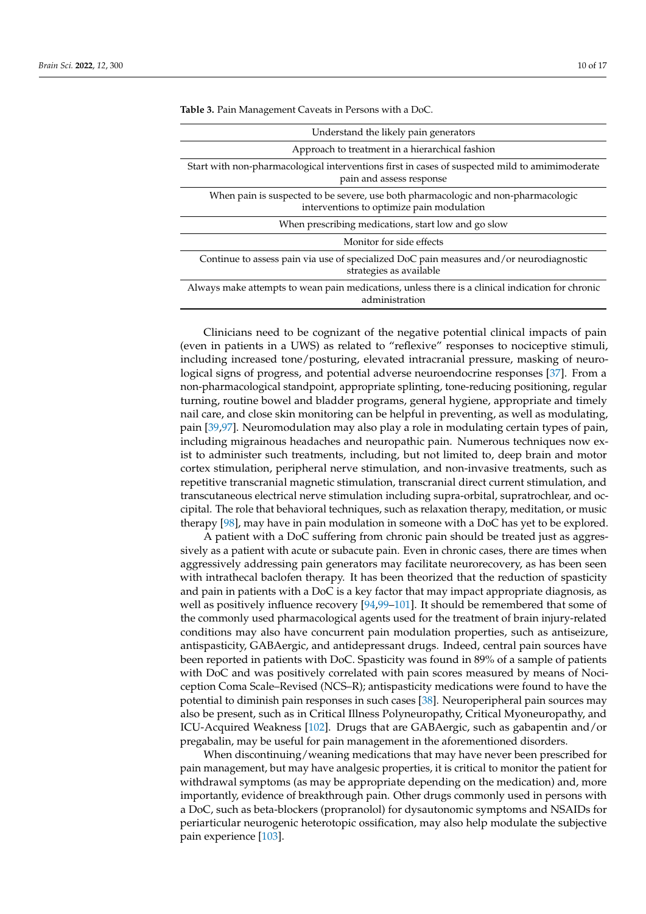| Understand the likely pain generators                                                                                          |
|--------------------------------------------------------------------------------------------------------------------------------|
| Approach to treatment in a hierarchical fashion                                                                                |
| Start with non-pharmacological interventions first in cases of suspected mild to amimimoderate<br>pain and assess response     |
| When pain is suspected to be severe, use both pharmacologic and non-pharmacologic<br>interventions to optimize pain modulation |
| When prescribing medications, start low and go slow                                                                            |
| Monitor for side effects                                                                                                       |
| Continue to assess pain via use of specialized DoC pain measures and/or neurodiagnostic<br>strategies as available             |
| Always make attempts to wean pain medications, unless there is a clinical indication for chronic<br>administration             |

<span id="page-9-0"></span>**Table 3.** Pain Management Caveats in Persons with a DoC.

Clinicians need to be cognizant of the negative potential clinical impacts of pain (even in patients in a UWS) as related to "reflexive" responses to nociceptive stimuli, including increased tone/posturing, elevated intracranial pressure, masking of neurological signs of progress, and potential adverse neuroendocrine responses [\[37\]](#page-13-10). From a non-pharmacological standpoint, appropriate splinting, tone-reducing positioning, regular turning, routine bowel and bladder programs, general hygiene, appropriate and timely nail care, and close skin monitoring can be helpful in preventing, as well as modulating, pain [\[39](#page-13-12)[,97\]](#page-15-15). Neuromodulation may also play a role in modulating certain types of pain, including migrainous headaches and neuropathic pain. Numerous techniques now exist to administer such treatments, including, but not limited to, deep brain and motor cortex stimulation, peripheral nerve stimulation, and non-invasive treatments, such as repetitive transcranial magnetic stimulation, transcranial direct current stimulation, and transcutaneous electrical nerve stimulation including supra-orbital, supratrochlear, and occipital. The role that behavioral techniques, such as relaxation therapy, meditation, or music therapy [\[98\]](#page-15-16), may have in pain modulation in someone with a DoC has yet to be explored.

A patient with a DoC suffering from chronic pain should be treated just as aggressively as a patient with acute or subacute pain. Even in chronic cases, there are times when aggressively addressing pain generators may facilitate neurorecovery, as has been seen with intrathecal baclofen therapy. It has been theorized that the reduction of spasticity and pain in patients with a DoC is a key factor that may impact appropriate diagnosis, as well as positively influence recovery [\[94,](#page-15-12)[99](#page-15-17)[–101\]](#page-15-18). It should be remembered that some of the commonly used pharmacological agents used for the treatment of brain injury-related conditions may also have concurrent pain modulation properties, such as antiseizure, antispasticity, GABAergic, and antidepressant drugs. Indeed, central pain sources have been reported in patients with DoC. Spasticity was found in 89% of a sample of patients with DoC and was positively correlated with pain scores measured by means of Nociception Coma Scale–Revised (NCS–R); antispasticity medications were found to have the potential to diminish pain responses in such cases [\[38\]](#page-13-11). Neuroperipheral pain sources may also be present, such as in Critical Illness Polyneuropathy, Critical Myoneuropathy, and ICU-Acquired Weakness [\[102\]](#page-15-19). Drugs that are GABAergic, such as gabapentin and/or pregabalin, may be useful for pain management in the aforementioned disorders.

When discontinuing/weaning medications that may have never been prescribed for pain management, but may have analgesic properties, it is critical to monitor the patient for withdrawal symptoms (as may be appropriate depending on the medication) and, more importantly, evidence of breakthrough pain. Other drugs commonly used in persons with a DoC, such as beta-blockers (propranolol) for dysautonomic symptoms and NSAIDs for periarticular neurogenic heterotopic ossification, may also help modulate the subjective pain experience [\[103\]](#page-15-20).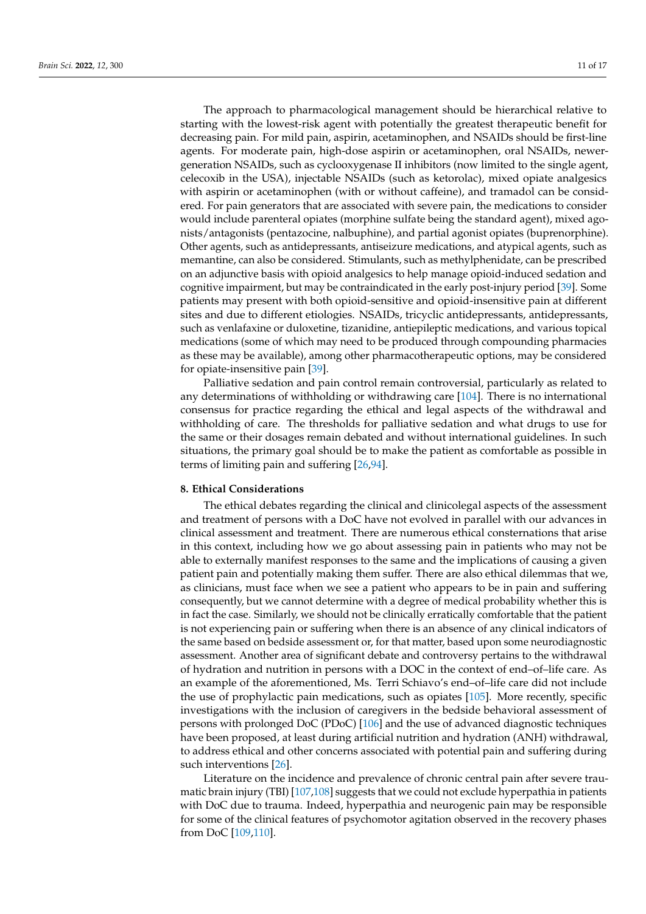The approach to pharmacological management should be hierarchical relative to starting with the lowest-risk agent with potentially the greatest therapeutic benefit for decreasing pain. For mild pain, aspirin, acetaminophen, and NSAIDs should be first-line agents. For moderate pain, high-dose aspirin or acetaminophen, oral NSAIDs, newergeneration NSAIDs, such as cyclooxygenase II inhibitors (now limited to the single agent, celecoxib in the USA), injectable NSAIDs (such as ketorolac), mixed opiate analgesics with aspirin or acetaminophen (with or without caffeine), and tramadol can be considered. For pain generators that are associated with severe pain, the medications to consider would include parenteral opiates (morphine sulfate being the standard agent), mixed agonists/antagonists (pentazocine, nalbuphine), and partial agonist opiates (buprenorphine). Other agents, such as antidepressants, antiseizure medications, and atypical agents, such as memantine, can also be considered. Stimulants, such as methylphenidate, can be prescribed on an adjunctive basis with opioid analgesics to help manage opioid-induced sedation and cognitive impairment, but may be contraindicated in the early post-injury period [\[39\]](#page-13-12). Some patients may present with both opioid-sensitive and opioid-insensitive pain at different sites and due to different etiologies. NSAIDs, tricyclic antidepressants, antidepressants, such as venlafaxine or duloxetine, tizanidine, antiepileptic medications, and various topical medications (some of which may need to be produced through compounding pharmacies as these may be available), among other pharmacotherapeutic options, may be considered for opiate-insensitive pain [\[39\]](#page-13-12).

Palliative sedation and pain control remain controversial, particularly as related to any determinations of withholding or withdrawing care [\[104\]](#page-15-21). There is no international consensus for practice regarding the ethical and legal aspects of the withdrawal and withholding of care. The thresholds for palliative sedation and what drugs to use for the same or their dosages remain debated and without international guidelines. In such situations, the primary goal should be to make the patient as comfortable as possible in terms of limiting pain and suffering [\[26](#page-13-0)[,94\]](#page-15-12).

#### **8. Ethical Considerations**

The ethical debates regarding the clinical and clinicolegal aspects of the assessment and treatment of persons with a DoC have not evolved in parallel with our advances in clinical assessment and treatment. There are numerous ethical consternations that arise in this context, including how we go about assessing pain in patients who may not be able to externally manifest responses to the same and the implications of causing a given patient pain and potentially making them suffer. There are also ethical dilemmas that we, as clinicians, must face when we see a patient who appears to be in pain and suffering consequently, but we cannot determine with a degree of medical probability whether this is in fact the case. Similarly, we should not be clinically erratically comfortable that the patient is not experiencing pain or suffering when there is an absence of any clinical indicators of the same based on bedside assessment or, for that matter, based upon some neurodiagnostic assessment. Another area of significant debate and controversy pertains to the withdrawal of hydration and nutrition in persons with a DOC in the context of end–of–life care. As an example of the aforementioned, Ms. Terri Schiavo's end–of–life care did not include the use of prophylactic pain medications, such as opiates [\[105\]](#page-15-22). More recently, specific investigations with the inclusion of caregivers in the bedside behavioral assessment of persons with prolonged DoC (PDoC) [\[106\]](#page-15-23) and the use of advanced diagnostic techniques have been proposed, at least during artificial nutrition and hydration (ANH) withdrawal, to address ethical and other concerns associated with potential pain and suffering during such interventions [\[26\]](#page-13-0).

Literature on the incidence and prevalence of chronic central pain after severe traumatic brain injury (TBI) [\[107,](#page-15-24)[108\]](#page-15-25) suggests that we could not exclude hyperpathia in patients with DoC due to trauma. Indeed, hyperpathia and neurogenic pain may be responsible for some of the clinical features of psychomotor agitation observed in the recovery phases from DoC [\[109,](#page-15-26)[110\]](#page-16-0).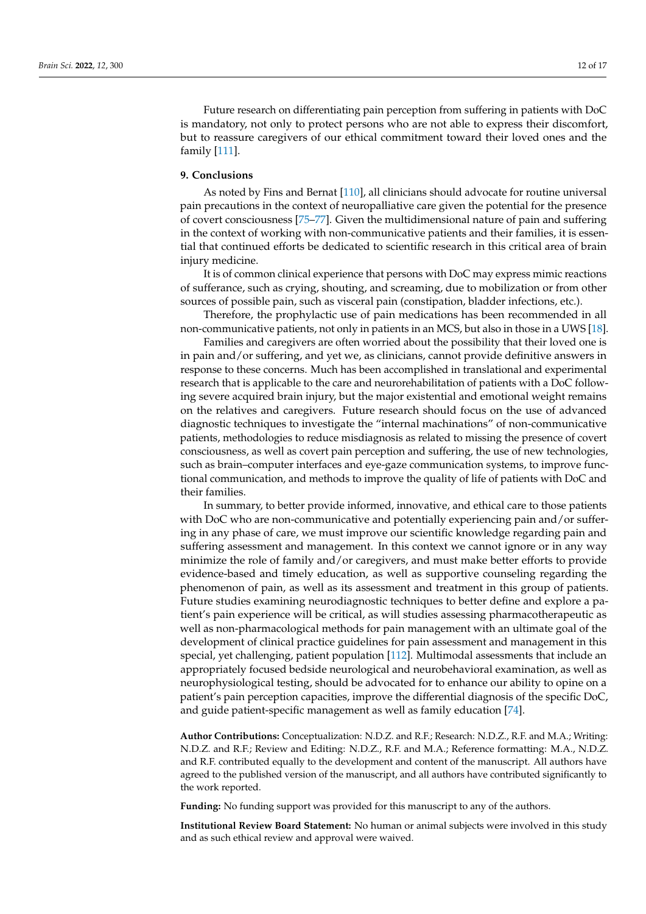Future research on differentiating pain perception from suffering in patients with DoC is mandatory, not only to protect persons who are not able to express their discomfort, but to reassure caregivers of our ethical commitment toward their loved ones and the family [\[111\]](#page-16-1).

#### **9. Conclusions**

As noted by Fins and Bernat [\[110\]](#page-16-0), all clinicians should advocate for routine universal pain precautions in the context of neuropalliative care given the potential for the presence of covert consciousness [\[75](#page-14-17)[–77\]](#page-14-18). Given the multidimensional nature of pain and suffering in the context of working with non-communicative patients and their families, it is essential that continued efforts be dedicated to scientific research in this critical area of brain injury medicine.

It is of common clinical experience that persons with DoC may express mimic reactions of sufferance, such as crying, shouting, and screaming, due to mobilization or from other sources of possible pain, such as visceral pain (constipation, bladder infections, etc.).

Therefore, the prophylactic use of pain medications has been recommended in all non-communicative patients, not only in patients in an MCS, but also in those in a UWS [\[18\]](#page-12-13).

Families and caregivers are often worried about the possibility that their loved one is in pain and/or suffering, and yet we, as clinicians, cannot provide definitive answers in response to these concerns. Much has been accomplished in translational and experimental research that is applicable to the care and neurorehabilitation of patients with a DoC following severe acquired brain injury, but the major existential and emotional weight remains on the relatives and caregivers. Future research should focus on the use of advanced diagnostic techniques to investigate the "internal machinations" of non-communicative patients, methodologies to reduce misdiagnosis as related to missing the presence of covert consciousness, as well as covert pain perception and suffering, the use of new technologies, such as brain–computer interfaces and eye-gaze communication systems, to improve functional communication, and methods to improve the quality of life of patients with DoC and their families.

In summary, to better provide informed, innovative, and ethical care to those patients with DoC who are non-communicative and potentially experiencing pain and/or suffering in any phase of care, we must improve our scientific knowledge regarding pain and suffering assessment and management. In this context we cannot ignore or in any way minimize the role of family and/or caregivers, and must make better efforts to provide evidence-based and timely education, as well as supportive counseling regarding the phenomenon of pain, as well as its assessment and treatment in this group of patients. Future studies examining neurodiagnostic techniques to better define and explore a patient's pain experience will be critical, as will studies assessing pharmacotherapeutic as well as non-pharmacological methods for pain management with an ultimate goal of the development of clinical practice guidelines for pain assessment and management in this special, yet challenging, patient population [\[112\]](#page-16-2). Multimodal assessments that include an appropriately focused bedside neurological and neurobehavioral examination, as well as neurophysiological testing, should be advocated for to enhance our ability to opine on a patient's pain perception capacities, improve the differential diagnosis of the specific DoC, and guide patient-specific management as well as family education [\[74\]](#page-14-16).

**Author Contributions:** Conceptualization: N.D.Z. and R.F.; Research: N.D.Z., R.F. and M.A.; Writing: N.D.Z. and R.F.; Review and Editing: N.D.Z., R.F. and M.A.; Reference formatting: M.A., N.D.Z. and R.F. contributed equally to the development and content of the manuscript. All authors have agreed to the published version of the manuscript, and all authors have contributed significantly to the work reported.

**Funding:** No funding support was provided for this manuscript to any of the authors.

**Institutional Review Board Statement:** No human or animal subjects were involved in this study and as such ethical review and approval were waived.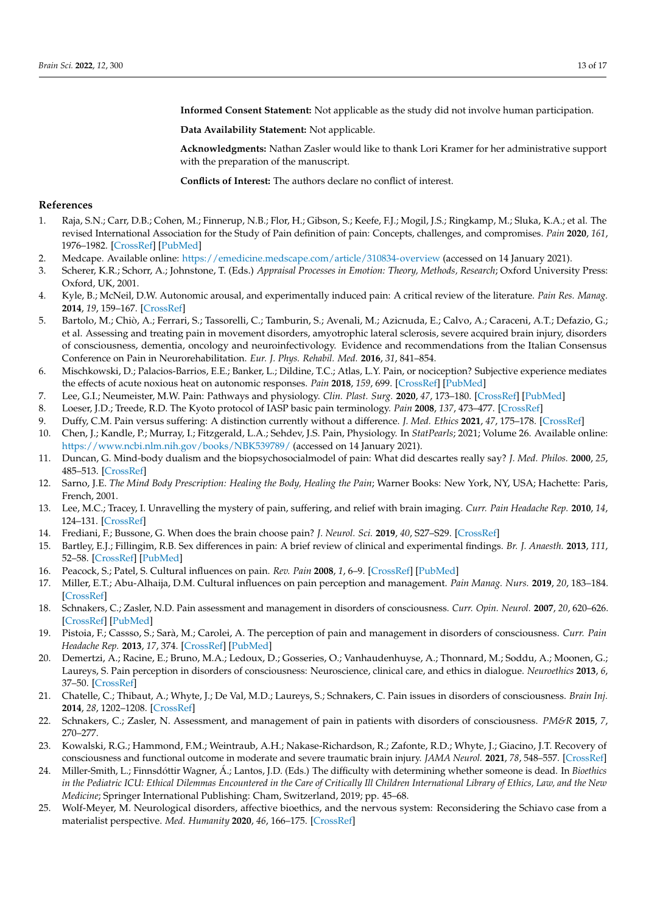**Informed Consent Statement:** Not applicable as the study did not involve human participation.

**Data Availability Statement:** Not applicable.

**Acknowledgments:** Nathan Zasler would like to thank Lori Kramer for her administrative support with the preparation of the manuscript.

**Conflicts of Interest:** The authors declare no conflict of interest.

#### **References**

- <span id="page-12-0"></span>1. Raja, S.N.; Carr, D.B.; Cohen, M.; Finnerup, N.B.; Flor, H.; Gibson, S.; Keefe, F.J.; Mogil, J.S.; Ringkamp, M.; Sluka, K.A.; et al. The revised International Association for the Study of Pain definition of pain: Concepts, challenges, and compromises. *Pain* **2020**, *161*, 1976–1982. [\[CrossRef\]](http://doi.org/10.1097/j.pain.0000000000001939) [\[PubMed\]](http://www.ncbi.nlm.nih.gov/pubmed/32694387)
- <span id="page-12-1"></span>2. Medcape. Available online: <https://emedicine.medscape.com/article/310834-overview> (accessed on 14 January 2021).
- <span id="page-12-2"></span>3. Scherer, K.R.; Schorr, A.; Johnstone, T. (Eds.) *Appraisal Processes in Emotion: Theory, Methods, Research*; Oxford University Press: Oxford, UK, 2001.
- 4. Kyle, B.; McNeil, D.W. Autonomic arousal, and experimentally induced pain: A critical review of the literature. *Pain Res. Manag.* **2014**, *19*, 159–167. [\[CrossRef\]](http://doi.org/10.1155/2014/536859)
- 5. Bartolo, M.; Chiò, A.; Ferrari, S.; Tassorelli, C.; Tamburin, S.; Avenali, M.; Azicnuda, E.; Calvo, A.; Caraceni, A.T.; Defazio, G.; et al. Assessing and treating pain in movement disorders, amyotrophic lateral sclerosis, severe acquired brain injury, disorders of consciousness, dementia, oncology and neuroinfectivology. Evidence and recommendations from the Italian Consensus Conference on Pain in Neurorehabilitation. *Eur. J. Phys. Rehabil. Med.* **2016**, *31*, 841–854.
- <span id="page-12-3"></span>6. Mischkowski, D.; Palacios-Barrios, E.E.; Banker, L.; Dildine, T.C.; Atlas, L.Y. Pain, or nociception? Subjective experience mediates the effects of acute noxious heat on autonomic responses. *Pain* **2018**, *159*, 699. [\[CrossRef\]](http://doi.org/10.1097/j.pain.0000000000001132) [\[PubMed\]](http://www.ncbi.nlm.nih.gov/pubmed/29251663)
- <span id="page-12-4"></span>7. Lee, G.I.; Neumeister, M.W. Pain: Pathways and physiology. *Clin. Plast. Surg.* **2020**, *47*, 173–180. [\[CrossRef\]](http://doi.org/10.1016/j.cps.2019.11.001) [\[PubMed\]](http://www.ncbi.nlm.nih.gov/pubmed/32115044)
- <span id="page-12-5"></span>8. Loeser, J.D.; Treede, R.D. The Kyoto protocol of IASP basic pain terminology. *Pain* **2008**, *137*, 473–477. [\[CrossRef\]](http://doi.org/10.1016/j.pain.2008.04.025)
- <span id="page-12-6"></span>9. Duffy, C.M. Pain versus suffering: A distinction currently without a difference. *J. Med. Ethics* **2021**, *47*, 175–178. [\[CrossRef\]](http://doi.org/10.1136/medethics-2019-105902)
- <span id="page-12-7"></span>10. Chen, J.; Kandle, P.; Murray, I.; Fitzgerald, L.A.; Sehdev, J.S. Pain, Physiology. In *StatPearls*; 2021; Volume 26. Available online: <https://www.ncbi.nlm.nih.gov/books/NBK539789/> (accessed on 14 January 2021).
- <span id="page-12-8"></span>11. Duncan, G. Mind-body dualism and the biopsychosocialmodel of pain: What did descartes really say? *J. Med. Philos.* **2000**, *25*, 485–513. [\[CrossRef\]](http://doi.org/10.1076/0360-5310(200008)25:4;1-A;FT485)
- 12. Sarno, J.E. *The Mind Body Prescription: Healing the Body, Healing the Pain*; Warner Books: New York, NY, USA; Hachette: Paris, French, 2001.
- 13. Lee, M.C.; Tracey, I. Unravelling the mystery of pain, suffering, and relief with brain imaging. *Curr. Pain Headache Rep.* **2010**, *14*, 124–131. [\[CrossRef\]](http://doi.org/10.1007/s11916-010-0103-0)
- <span id="page-12-9"></span>14. Frediani, F.; Bussone, G. When does the brain choose pain? *J. Neurol. Sci.* **2019**, *40*, S27–S29. [\[CrossRef\]](http://doi.org/10.1007/s10072-019-03849-9)
- <span id="page-12-10"></span>15. Bartley, E.J.; Fillingim, R.B. Sex differences in pain: A brief review of clinical and experimental findings. *Br. J. Anaesth.* **2013**, *111*, 52–58. [\[CrossRef\]](http://doi.org/10.1093/bja/aet127) [\[PubMed\]](http://www.ncbi.nlm.nih.gov/pubmed/23794645)
- <span id="page-12-11"></span>16. Peacock, S.; Patel, S. Cultural influences on pain. *Rev. Pain* **2008**, *1*, 6–9. [\[CrossRef\]](http://doi.org/10.1177/204946370800100203) [\[PubMed\]](http://www.ncbi.nlm.nih.gov/pubmed/26525084)
- <span id="page-12-12"></span>17. Miller, E.T.; Abu-Alhaija, D.M. Cultural influences on pain perception and management. *Pain Manag. Nurs.* **2019**, *20*, 183–184. [\[CrossRef\]](http://doi.org/10.1016/j.pmn.2019.04.006)
- <span id="page-12-13"></span>18. Schnakers, C.; Zasler, N.D. Pain assessment and management in disorders of consciousness. *Curr. Opin. Neurol.* **2007**, *20*, 620–626. [\[CrossRef\]](http://doi.org/10.1097/WCO.0b013e3282f169d9) [\[PubMed\]](http://www.ncbi.nlm.nih.gov/pubmed/17992079)
- 19. Pistoia, F.; Cassso, S.; Sarà, M.; Carolei, A. The perception of pain and management in disorders of consciousness. *Curr. Pain Headache Rep.* **2013**, *17*, 374. [\[CrossRef\]](http://doi.org/10.1007/s11916-013-0374-3) [\[PubMed\]](http://www.ncbi.nlm.nih.gov/pubmed/24078014)
- <span id="page-12-17"></span>20. Demertzi, A.; Racine, E.; Bruno, M.A.; Ledoux, D.; Gosseries, O.; Vanhaudenhuyse, A.; Thonnard, M.; Soddu, A.; Moonen, G.; Laureys, S. Pain perception in disorders of consciousness: Neuroscience, clinical care, and ethics in dialogue. *Neuroethics* **2013**, *6*, 37–50. [\[CrossRef\]](http://doi.org/10.1007/s12152-011-9149-x)
- 21. Chatelle, C.; Thibaut, A.; Whyte, J.; De Val, M.D.; Laureys, S.; Schnakers, C. Pain issues in disorders of consciousness. *Brain Inj.* **2014**, *28*, 1202–1208. [\[CrossRef\]](http://doi.org/10.3109/02699052.2014.920518)
- <span id="page-12-14"></span>22. Schnakers, C.; Zasler, N. Assessment, and management of pain in patients with disorders of consciousness. *PM&R* **2015**, *7*, 270–277.
- <span id="page-12-15"></span>23. Kowalski, R.G.; Hammond, F.M.; Weintraub, A.H.; Nakase-Richardson, R.; Zafonte, R.D.; Whyte, J.; Giacino, J.T. Recovery of consciousness and functional outcome in moderate and severe traumatic brain injury. *JAMA Neurol.* **2021**, *78*, 548–557. [\[CrossRef\]](http://doi.org/10.1001/jamaneurol.2021.0084)
- <span id="page-12-16"></span>24. Miller-Smith, L.; Finnsdóttir Wagner, Á.; Lantos, J.D. (Eds.) The difficulty with determining whether someone is dead. In *Bioethics in the Pediatric ICU: Ethical Dilemmas Encountered in the Care of Critically Ill Children International Library of Ethics, Law, and the New Medicine*; Springer International Publishing: Cham, Switzerland, 2019; pp. 45–68.
- 25. Wolf-Meyer, M. Neurological disorders, affective bioethics, and the nervous system: Reconsidering the Schiavo case from a materialist perspective. *Med. Humanity* **2020**, *46*, 166–175. [\[CrossRef\]](http://doi.org/10.1136/medhum-2018-011568)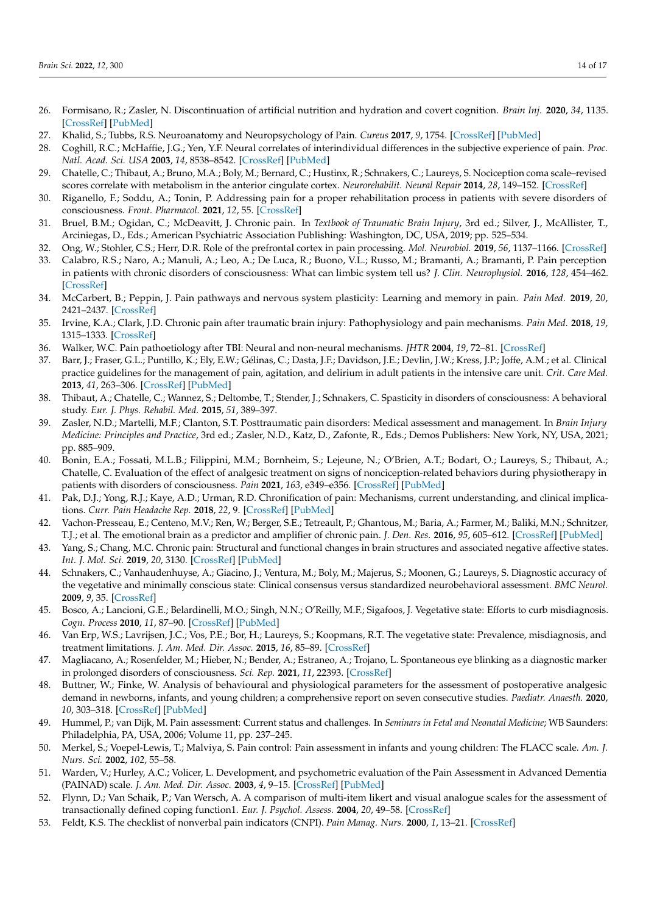- <span id="page-13-0"></span>26. Formisano, R.; Zasler, N. Discontinuation of artificial nutrition and hydration and covert cognition. *Brain Inj.* **2020**, *34*, 1135. [\[CrossRef\]](http://doi.org/10.1080/02699052.2020.1786602) [\[PubMed\]](http://www.ncbi.nlm.nih.gov/pubmed/32594770)
- <span id="page-13-1"></span>27. Khalid, S.; Tubbs, R.S. Neuroanatomy and Neuropsychology of Pain. *Cureus* **2017**, *9*, 1754. [\[CrossRef\]](http://doi.org/10.7759/cureus.1754) [\[PubMed\]](http://www.ncbi.nlm.nih.gov/pubmed/29226044)
- <span id="page-13-2"></span>28. Coghill, R.C.; McHaffie, J.G.; Yen, Y.F. Neural correlates of interindividual differences in the subjective experience of pain. *Proc. Natl. Acad. Sci. USA* **2003**, *14*, 8538–8542. [\[CrossRef\]](http://doi.org/10.1073/pnas.1430684100) [\[PubMed\]](http://www.ncbi.nlm.nih.gov/pubmed/12824463)
- 29. Chatelle, C.; Thibaut, A.; Bruno, M.A.; Boly, M.; Bernard, C.; Hustinx, R.; Schnakers, C.; Laureys, S. Nociception coma scale–revised scores correlate with metabolism in the anterior cingulate cortex. *Neurorehabilit. Neural Repair* **2014**, *28*, 149–152. [\[CrossRef\]](http://doi.org/10.1177/1545968313503220)
- <span id="page-13-3"></span>30. Riganello, F.; Soddu, A.; Tonin, P. Addressing pain for a proper rehabilitation process in patients with severe disorders of consciousness. *Front. Pharmacol.* **2021**, *12*, 55. [\[CrossRef\]](http://doi.org/10.3389/fphar.2021.628980)
- <span id="page-13-4"></span>31. Bruel, B.M.; Ogidan, C.; McDeavitt, J. Chronic pain. In *Textbook of Traumatic Brain Injury*, 3rd ed.; Silver, J., McAllister, T., Arciniegas, D., Eds.; American Psychiatric Association Publishing: Washington, DC, USA, 2019; pp. 525–534.
- <span id="page-13-5"></span>32. Ong, W.; Stohler, C.S.; Herr, D.R. Role of the prefrontal cortex in pain processing. *Mol. Neurobiol.* **2019**, *56*, 1137–1166. [\[CrossRef\]](http://doi.org/10.1007/s12035-018-1130-9)
- <span id="page-13-6"></span>33. Calabro, R.S.; Naro, A.; Manuli, A.; Leo, A.; De Luca, R.; Buono, V.L.; Russo, M.; Bramanti, A.; Bramanti, P. Pain perception in patients with chronic disorders of consciousness: What can limbic system tell us? *J. Clin. Neurophysiol.* **2016**, *128*, 454–462. [\[CrossRef\]](http://doi.org/10.1016/j.clinph.2016.12.011)
- <span id="page-13-7"></span>34. McCarbert, B.; Peppin, J. Pain pathways and nervous system plasticity: Learning and memory in pain. *Pain Med.* **2019**, *20*, 2421–2437. [\[CrossRef\]](http://doi.org/10.1093/pm/pnz017)
- <span id="page-13-8"></span>35. Irvine, K.A.; Clark, J.D. Chronic pain after traumatic brain injury: Pathophysiology and pain mechanisms. *Pain Med.* **2018**, *19*, 1315–1333. [\[CrossRef\]](http://doi.org/10.1093/pm/pnx153)
- <span id="page-13-9"></span>36. Walker, W.C. Pain pathoetiology after TBI: Neural and non-neural mechanisms. *JHTR* **2004**, *19*, 72–81. [\[CrossRef\]](http://doi.org/10.1097/00001199-200401000-00007)
- <span id="page-13-10"></span>37. Barr, J.; Fraser, G.L.; Puntillo, K.; Ely, E.W.; Gélinas, C.; Dasta, J.F.; Davidson, J.E.; Devlin, J.W.; Kress, J.P.; Joffe, A.M.; et al. Clinical practice guidelines for the management of pain, agitation, and delirium in adult patients in the intensive care unit. *Crit. Care Med.* **2013**, *41*, 263–306. [\[CrossRef\]](http://doi.org/10.1097/CCM.0b013e3182783b72) [\[PubMed\]](http://www.ncbi.nlm.nih.gov/pubmed/23269131)
- <span id="page-13-11"></span>38. Thibaut, A.; Chatelle, C.; Wannez, S.; Deltombe, T.; Stender, J.; Schnakers, C. Spasticity in disorders of consciousness: A behavioral study. *Eur. J. Phys. Rehabil. Med.* **2015**, *51*, 389–397.
- <span id="page-13-12"></span>39. Zasler, N.D.; Martelli, M.F.; Clanton, S.T. Posttraumatic pain disorders: Medical assessment and management. In *Brain Injury Medicine: Principles and Practice*, 3rd ed.; Zasler, N.D., Katz, D., Zafonte, R., Eds.; Demos Publishers: New York, NY, USA, 2021; pp. 885–909.
- <span id="page-13-13"></span>40. Bonin, E.A.; Fossati, M.L.B.; Filippini, M.M.; Bornheim, S.; Lejeune, N.; O'Brien, A.T.; Bodart, O.; Laureys, S.; Thibaut, A.; Chatelle, C. Evaluation of the effect of analgesic treatment on signs of nonciception-related behaviors during physiotherapy in patients with disorders of consciousness. *Pain* **2021**, *163*, e349–e356. [\[CrossRef\]](http://doi.org/10.1097/j.pain.0000000000002367) [\[PubMed\]](http://www.ncbi.nlm.nih.gov/pubmed/34393202)
- <span id="page-13-14"></span>41. Pak, D.J.; Yong, R.J.; Kaye, A.D.; Urman, R.D. Chronification of pain: Mechanisms, current understanding, and clinical implications. *Curr. Pain Headache Rep.* **2018**, *22*, 9. [\[CrossRef\]](http://doi.org/10.1007/s11916-018-0666-8) [\[PubMed\]](http://www.ncbi.nlm.nih.gov/pubmed/29404791)
- <span id="page-13-15"></span>42. Vachon-Presseau, E.; Centeno, M.V.; Ren, W.; Berger, S.E.; Tetreault, P.; Ghantous, M.; Baria, A.; Farmer, M.; Baliki, M.N.; Schnitzer, T.J.; et al. The emotional brain as a predictor and amplifier of chronic pain. *J. Den. Res.* **2016**, *95*, 605–612. [\[CrossRef\]](http://doi.org/10.1177/0022034516638027) [\[PubMed\]](http://www.ncbi.nlm.nih.gov/pubmed/26965423)
- <span id="page-13-16"></span>43. Yang, S.; Chang, M.C. Chronic pain: Structural and functional changes in brain structures and associated negative affective states. *Int. J. Mol. Sci.* **2019**, *20*, 3130. [\[CrossRef\]](http://doi.org/10.3390/ijms20133130) [\[PubMed\]](http://www.ncbi.nlm.nih.gov/pubmed/31248061)
- <span id="page-13-17"></span>44. Schnakers, C.; Vanhaudenhuyse, A.; Giacino, J.; Ventura, M.; Boly, M.; Majerus, S.; Moonen, G.; Laureys, S. Diagnostic accuracy of the vegetative and minimally conscious state: Clinical consensus versus standardized neurobehavioral assessment. *BMC Neurol.* **2009**, *9*, 35. [\[CrossRef\]](http://doi.org/10.1186/1471-2377-9-35)
- 45. Bosco, A.; Lancioni, G.E.; Belardinelli, M.O.; Singh, N.N.; O'Reilly, M.F.; Sigafoos, J. Vegetative state: Efforts to curb misdiagnosis. *Cogn. Process* **2010**, *11*, 87–90. [\[CrossRef\]](http://doi.org/10.1007/s10339-009-0355-y) [\[PubMed\]](http://www.ncbi.nlm.nih.gov/pubmed/20043186)
- <span id="page-13-18"></span>46. Van Erp, W.S.; Lavrijsen, J.C.; Vos, P.E.; Bor, H.; Laureys, S.; Koopmans, R.T. The vegetative state: Prevalence, misdiagnosis, and treatment limitations. *J. Am. Med. Dir. Assoc.* **2015**, *16*, 85–89. [\[CrossRef\]](http://doi.org/10.1016/j.jamda.2014.10.014)
- <span id="page-13-19"></span>47. Magliacano, A.; Rosenfelder, M.; Hieber, N.; Bender, A.; Estraneo, A.; Trojano, L. Spontaneous eye blinking as a diagnostic marker in prolonged disorders of consciousness. *Sci. Rep.* **2021**, *11*, 22393. [\[CrossRef\]](http://doi.org/10.1038/s41598-021-01858-3)
- <span id="page-13-20"></span>48. Buttner, W.; Finke, W. Analysis of behavioural and physiological parameters for the assessment of postoperative analgesic demand in newborns, infants, and young children; a comprehensive report on seven consecutive studies. *Paediatr. Anaesth.* **2020**, *10*, 303–318. [\[CrossRef\]](http://doi.org/10.1046/j.1460-9592.2000.00530.x) [\[PubMed\]](http://www.ncbi.nlm.nih.gov/pubmed/10792748)
- 49. Hummel, P.; van Dijk, M. Pain assessment: Current status and challenges. In *Seminars in Fetal and Neonatal Medicine*; WB Saunders: Philadelphia, PA, USA, 2006; Volume 11, pp. 237–245.
- <span id="page-13-21"></span>50. Merkel, S.; Voepel-Lewis, T.; Malviya, S. Pain control: Pain assessment in infants and young children: The FLACC scale. *Am. J. Nurs. Sci.* **2002**, *102*, 55–58.
- <span id="page-13-22"></span>51. Warden, V.; Hurley, A.C.; Volicer, L. Development, and psychometric evaluation of the Pain Assessment in Advanced Dementia (PAINAD) scale. *J. Am. Med. Dir. Assoc.* **2003**, *4*, 9–15. [\[CrossRef\]](http://doi.org/10.1097/01.JAM.0000043422.31640.F7) [\[PubMed\]](http://www.ncbi.nlm.nih.gov/pubmed/12807591)
- <span id="page-13-23"></span>52. Flynn, D.; Van Schaik, P.; Van Wersch, A. A comparison of multi-item likert and visual analogue scales for the assessment of transactionally defined coping function1. *Eur. J. Psychol. Assess.* **2004**, *20*, 49–58. [\[CrossRef\]](http://doi.org/10.1027/1015-5759.20.1.49)
- <span id="page-13-24"></span>53. Feldt, K.S. The checklist of nonverbal pain indicators (CNPI). *Pain Manag. Nurs.* **2000**, *1*, 13–21. [\[CrossRef\]](http://doi.org/10.1053/jpmn.2000.5831)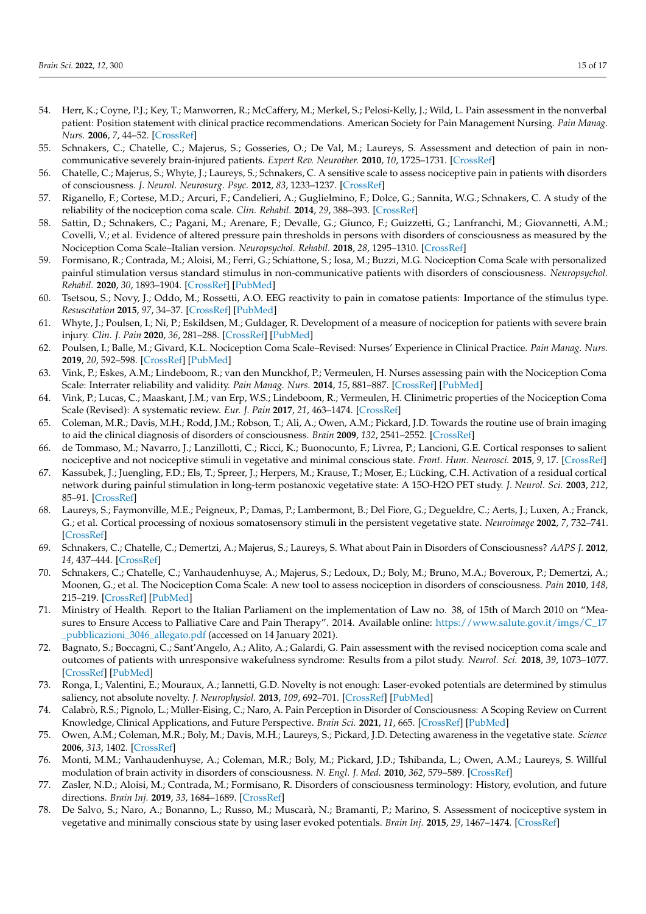- <span id="page-14-0"></span>54. Herr, K.; Coyne, P.J.; Key, T.; Manworren, R.; McCaffery, M.; Merkel, S.; Pelosi-Kelly, J.; Wild, L. Pain assessment in the nonverbal patient: Position statement with clinical practice recommendations. American Society for Pain Management Nursing. *Pain Manag. Nurs.* **2006**, *7*, 44–52. [\[CrossRef\]](http://doi.org/10.1016/j.pmn.2006.02.003)
- <span id="page-14-1"></span>55. Schnakers, C.; Chatelle, C.; Majerus, S.; Gosseries, O.; De Val, M.; Laureys, S. Assessment and detection of pain in noncommunicative severely brain-injured patients. *Expert Rev. Neurother.* **2010**, *10*, 1725–1731. [\[CrossRef\]](http://doi.org/10.1586/ern.10.148)
- <span id="page-14-3"></span>56. Chatelle, C.; Majerus, S.; Whyte, J.; Laureys, S.; Schnakers, C. A sensitive scale to assess nociceptive pain in patients with disorders of consciousness. *J. Neurol. Neurosurg. Psyc.* **2012**, *83*, 1233–1237. [\[CrossRef\]](http://doi.org/10.1136/jnnp-2012-302987)
- <span id="page-14-2"></span>57. Riganello, F.; Cortese, M.D.; Arcuri, F.; Candelieri, A.; Guglielmino, F.; Dolce, G.; Sannita, W.G.; Schnakers, C. A study of the reliability of the nociception coma scale. *Clin. Rehabil.* **2014**, *29*, 388–393. [\[CrossRef\]](http://doi.org/10.1177/0269215514546767)
- <span id="page-14-4"></span>58. Sattin, D.; Schnakers, C.; Pagani, M.; Arenare, F.; Devalle, G.; Giunco, F.; Guizzetti, G.; Lanfranchi, M.; Giovannetti, A.M.; Covelli, V.; et al. Evidence of altered pressure pain thresholds in persons with disorders of consciousness as measured by the Nociception Coma Scale–Italian version. *Neuropsychol. Rehabil.* **2018**, *28*, 1295–1310. [\[CrossRef\]](http://doi.org/10.1080/09602011.2017.1290532)
- <span id="page-14-5"></span>59. Formisano, R.; Contrada, M.; Aloisi, M.; Ferri, G.; Schiattone, S.; Iosa, M.; Buzzi, M.G. Nociception Coma Scale with personalized painful stimulation versus standard stimulus in non-communicative patients with disorders of consciousness. *Neuropsychol. Rehabil.* **2020**, *30*, 1893–1904. [\[CrossRef\]](http://doi.org/10.1080/09602011.2019.1614464) [\[PubMed\]](http://www.ncbi.nlm.nih.gov/pubmed/31088203)
- <span id="page-14-6"></span>60. Tsetsou, S.; Novy, J.; Oddo, M.; Rossetti, A.O. EEG reactivity to pain in comatose patients: Importance of the stimulus type. *Resuscitation* **2015**, *97*, 34–37. [\[CrossRef\]](http://doi.org/10.1016/j.resuscitation.2015.09.380) [\[PubMed\]](http://www.ncbi.nlm.nih.gov/pubmed/26409220)
- <span id="page-14-7"></span>61. Whyte, J.; Poulsen, I.; Ni, P.; Eskildsen, M.; Guldager, R. Development of a measure of nociception for patients with severe brain injury. *Clin. J. Pain* **2020**, *36*, 281–288. [\[CrossRef\]](http://doi.org/10.1097/AJP.0000000000000811) [\[PubMed\]](http://www.ncbi.nlm.nih.gov/pubmed/32015255)
- <span id="page-14-8"></span>62. Poulsen, I.; Balle, M.; Givard, K.L. Nociception Coma Scale–Revised: Nurses' Experience in Clinical Practice. *Pain Manag. Nurs.* **2019**, *20*, 592–598. [\[CrossRef\]](http://doi.org/10.1016/j.pmn.2019.02.003) [\[PubMed\]](http://www.ncbi.nlm.nih.gov/pubmed/31103500)
- <span id="page-14-9"></span>63. Vink, P.; Eskes, A.M.; Lindeboom, R.; van den Munckhof, P.; Vermeulen, H. Nurses assessing pain with the Nociception Coma Scale: Interrater reliability and validity. *Pain Manag. Nurs.* **2014**, *15*, 881–887. [\[CrossRef\]](http://doi.org/10.1016/j.pmn.2014.01.004) [\[PubMed\]](http://www.ncbi.nlm.nih.gov/pubmed/24912739)
- <span id="page-14-10"></span>64. Vink, P.; Lucas, C.; Maaskant, J.M.; van Erp, W.S.; Lindeboom, R.; Vermeulen, H. Clinimetric properties of the Nociception Coma Scale (Revised): A systematic review. *Eur. J. Pain* **2017**, *21*, 463–1474. [\[CrossRef\]](http://doi.org/10.1002/ejp.1063)
- <span id="page-14-11"></span>65. Coleman, M.R.; Davis, M.H.; Rodd, J.M.; Robson, T.; Ali, A.; Owen, A.M.; Pickard, J.D. Towards the routine use of brain imaging to aid the clinical diagnosis of disorders of consciousness. *Brain* **2009**, *132*, 2541–2552. [\[CrossRef\]](http://doi.org/10.1093/brain/awp183)
- <span id="page-14-20"></span>66. de Tommaso, M.; Navarro, J.; Lanzillotti, C.; Ricci, K.; Buonocunto, F.; Livrea, P.; Lancioni, G.E. Cortical responses to salient nociceptive and not nociceptive stimuli in vegetative and minimal conscious state. *Front. Hum. Neurosci.* **2015**, *9*, 17. [\[CrossRef\]](http://doi.org/10.3389/fnhum.2015.00017)
- <span id="page-14-22"></span>67. Kassubek, J.; Juengling, F.D.; Els, T.; Spreer, J.; Herpers, M.; Krause, T.; Moser, E.; Lücking, C.H. Activation of a residual cortical network during painful stimulation in long-term postanoxic vegetative state: A 15O-H2O PET study. *J. Neurol. Sci.* **2003**, *212*, 85–91. [\[CrossRef\]](http://doi.org/10.1016/S0022-510X(03)00106-0)
- <span id="page-14-21"></span>68. Laureys, S.; Faymonville, M.E.; Peigneux, P.; Damas, P.; Lambermont, B.; Del Fiore, G.; Degueldre, C.; Aerts, J.; Luxen, A.; Franck, G.; et al. Cortical processing of noxious somatosensory stimuli in the persistent vegetative state. *Neuroimage* **2002**, *7*, 732–741. [\[CrossRef\]](http://doi.org/10.1006/nimg.2002.1236)
- <span id="page-14-23"></span>69. Schnakers, C.; Chatelle, C.; Demertzi, A.; Majerus, S.; Laureys, S. What about Pain in Disorders of Consciousness? *AAPS J.* **2012**, *14*, 437–444. [\[CrossRef\]](http://doi.org/10.1208/s12248-012-9346-5)
- <span id="page-14-12"></span>70. Schnakers, C.; Chatelle, C.; Vanhaudenhuyse, A.; Majerus, S.; Ledoux, D.; Boly, M.; Bruno, M.A.; Boveroux, P.; Demertzi, A.; Moonen, G.; et al. The Nociception Coma Scale: A new tool to assess nociception in disorders of consciousness. *Pain* **2010**, *148*, 215–219. [\[CrossRef\]](http://doi.org/10.1016/j.pain.2009.09.028) [\[PubMed\]](http://www.ncbi.nlm.nih.gov/pubmed/19854576)
- <span id="page-14-13"></span>71. Ministry of Health. Report to the Italian Parliament on the implementation of Law no. 38, of 15th of March 2010 on "Measures to Ensure Access to Palliative Care and Pain Therapy". 2014. Available online: [https://www.salute.gov.it/imgs/C\\_17](https://www.salute.gov.it/imgs/C_17_pubblicazioni_3046_allegato.pdf) [\\_pubblicazioni\\_3046\\_allegato.pdf](https://www.salute.gov.it/imgs/C_17_pubblicazioni_3046_allegato.pdf) (accessed on 14 January 2021).
- <span id="page-14-14"></span>72. Bagnato, S.; Boccagni, C.; Sant'Angelo, A.; Alito, A.; Galardi, G. Pain assessment with the revised nociception coma scale and outcomes of patients with unresponsive wakefulness syndrome: Results from a pilot study. *Neurol. Sci.* **2018**, *39*, 1073–1077. [\[CrossRef\]](http://doi.org/10.1007/s10072-018-3330-5) [\[PubMed\]](http://www.ncbi.nlm.nih.gov/pubmed/29582180)
- <span id="page-14-15"></span>73. Ronga, I.; Valentini, E.; Mouraux, A.; Iannetti, G.D. Novelty is not enough: Laser-evoked potentials are determined by stimulus saliency, not absolute novelty. *J. Neurophysiol.* **2013**, *109*, 692–701. [\[CrossRef\]](http://doi.org/10.1152/jn.00464.2012) [\[PubMed\]](http://www.ncbi.nlm.nih.gov/pubmed/23136349)
- <span id="page-14-16"></span>74. Calabrò, R.S.; Pignolo, L.; Müller-Eising, C.; Naro, A. Pain Perception in Disorder of Consciousness: A Scoping Review on Current Knowledge, Clinical Applications, and Future Perspective. *Brain Sci.* **2021**, *11*, 665. [\[CrossRef\]](http://doi.org/10.3390/brainsci11050665) [\[PubMed\]](http://www.ncbi.nlm.nih.gov/pubmed/34065349)
- <span id="page-14-17"></span>75. Owen, A.M.; Coleman, M.R.; Boly, M.; Davis, M.H.; Laureys, S.; Pickard, J.D. Detecting awareness in the vegetative state. *Science* **2006**, *313*, 1402. [\[CrossRef\]](http://doi.org/10.1126/science.1130197)
- 76. Monti, M.M.; Vanhaudenhuyse, A.; Coleman, M.R.; Boly, M.; Pickard, J.D.; Tshibanda, L.; Owen, A.M.; Laureys, S. Willful modulation of brain activity in disorders of consciousness. *N. Engl. J. Med.* **2010**, *362*, 579–589. [\[CrossRef\]](http://doi.org/10.1056/NEJMoa0905370)
- <span id="page-14-18"></span>77. Zasler, N.D.; Aloisi, M.; Contrada, M.; Formisano, R. Disorders of consciousness terminology: History, evolution, and future directions. *Brain Inj.* **2019**, *33*, 1684–1689. [\[CrossRef\]](http://doi.org/10.1080/02699052.2019.1656821)
- <span id="page-14-19"></span>78. De Salvo, S.; Naro, A.; Bonanno, L.; Russo, M.; Muscarà, N.; Bramanti, P.; Marino, S. Assessment of nociceptive system in vegetative and minimally conscious state by using laser evoked potentials. *Brain Inj.* **2015**, *29*, 1467–1474. [\[CrossRef\]](http://doi.org/10.3109/02699052.2015.1071430)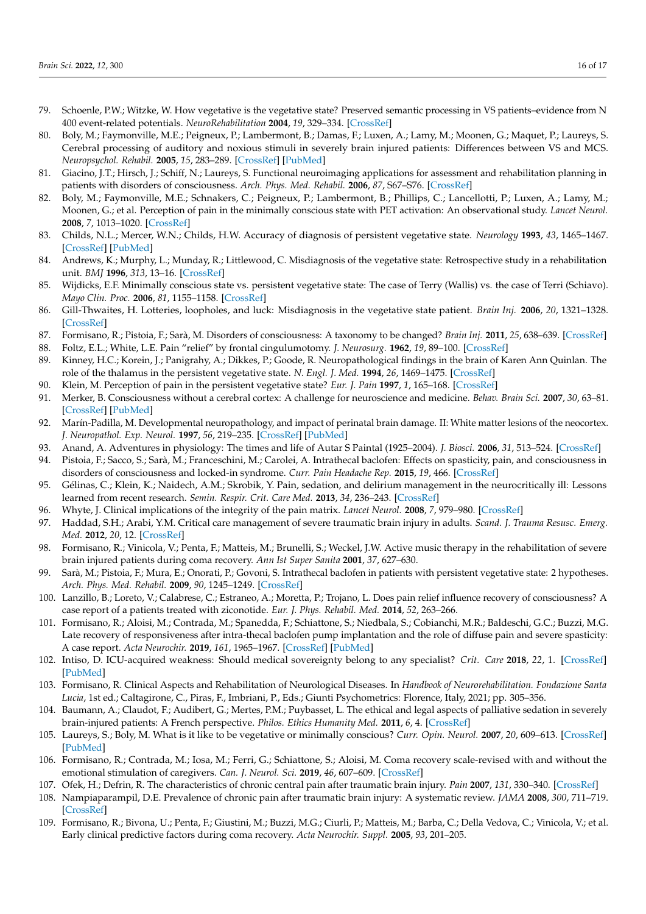- <span id="page-15-0"></span>79. Schoenle, P.W.; Witzke, W. How vegetative is the vegetative state? Preserved semantic processing in VS patients–evidence from N 400 event-related potentials. *NeuroRehabilitation* **2004**, *19*, 329–334. [\[CrossRef\]](http://doi.org/10.3233/NRE-2004-19409)
- <span id="page-15-1"></span>80. Boly, M.; Faymonville, M.E.; Peigneux, P.; Lambermont, B.; Damas, F.; Luxen, A.; Lamy, M.; Moonen, G.; Maquet, P.; Laureys, S. Cerebral processing of auditory and noxious stimuli in severely brain injured patients: Differences between VS and MCS. *Neuropsychol. Rehabil.* **2005**, *15*, 283–289. [\[CrossRef\]](http://doi.org/10.1080/09602010443000371) [\[PubMed\]](http://www.ncbi.nlm.nih.gov/pubmed/16350972)
- <span id="page-15-2"></span>81. Giacino, J.T.; Hirsch, J.; Schiff, N.; Laureys, S. Functional neuroimaging applications for assessment and rehabilitation planning in patients with disorders of consciousness. *Arch. Phys. Med. Rehabil.* **2006**, *87*, S67–S76. [\[CrossRef\]](http://doi.org/10.1016/j.apmr.2006.07.272)
- <span id="page-15-3"></span>82. Boly, M.; Faymonville, M.E.; Schnakers, C.; Peigneux, P.; Lambermont, B.; Phillips, C.; Lancellotti, P.; Luxen, A.; Lamy, M.; Moonen, G.; et al. Perception of pain in the minimally conscious state with PET activation: An observational study. *Lancet Neurol.* **2008**, *7*, 1013–1020. [\[CrossRef\]](http://doi.org/10.1016/S1474-4422(08)70219-9)
- <span id="page-15-4"></span>83. Childs, N.L.; Mercer, W.N.; Childs, H.W. Accuracy of diagnosis of persistent vegetative state. *Neurology* **1993**, *43*, 1465–1467. [\[CrossRef\]](http://doi.org/10.1212/WNL.43.8.1465) [\[PubMed\]](http://www.ncbi.nlm.nih.gov/pubmed/8350997)
- 84. Andrews, K.; Murphy, L.; Munday, R.; Littlewood, C. Misdiagnosis of the vegetative state: Retrospective study in a rehabilitation unit. *BMJ* **1996**, *313*, 13–16. [\[CrossRef\]](http://doi.org/10.1136/bmj.313.7048.13)
- 85. Wijdicks, E.F. Minimally conscious state vs. persistent vegetative state: The case of Terry (Wallis) vs. the case of Terri (Schiavo). *Mayo Clin. Proc.* **2006**, *81*, 1155–1158. [\[CrossRef\]](http://doi.org/10.4065/81.9.1155)
- 86. Gill-Thwaites, H. Lotteries, loopholes, and luck: Misdiagnosis in the vegetative state patient. *Brain Inj.* **2006**, *20*, 1321–1328. [\[CrossRef\]](http://doi.org/10.1080/02699050601081802)
- <span id="page-15-5"></span>87. Formisano, R.; Pistoia, F.; Sarà, M. Disorders of consciousness: A taxonomy to be changed? *Brain Inj.* **2011**, *25*, 638–639. [\[CrossRef\]](http://doi.org/10.3109/02699052.2011.572948)
- <span id="page-15-6"></span>88. Foltz, E.L.; White, L.E. Pain "relief" by frontal cingulumotomy. *J. Neurosurg.* **1962**, *19*, 89–100. [\[CrossRef\]](http://doi.org/10.3171/jns.1962.19.2.0089)
- <span id="page-15-7"></span>89. Kinney, H.C.; Korein, J.; Panigrahy, A.; Dikkes, P.; Goode, R. Neuropathological findings in the brain of Karen Ann Quinlan. The role of the thalamus in the persistent vegetative state. *N. Engl. J. Med.* **1994**, *26*, 1469–1475. [\[CrossRef\]](http://doi.org/10.1056/NEJM199405263302101)
- <span id="page-15-8"></span>90. Klein, M. Perception of pain in the persistent vegetative state? *Eur. J. Pain* **1997**, *1*, 165–168. [\[CrossRef\]](http://doi.org/10.1016/S1090-3801(97)90075-6)
- <span id="page-15-9"></span>91. Merker, B. Consciousness without a cerebral cortex: A challenge for neuroscience and medicine. *Behav. Brain Sci.* **2007**, *30*, 63–81. [\[CrossRef\]](http://doi.org/10.1017/S0140525X07000891) [\[PubMed\]](http://www.ncbi.nlm.nih.gov/pubmed/17475053)
- <span id="page-15-10"></span>92. Marín-Padilla, M. Developmental neuropathology, and impact of perinatal brain damage. II: White matter lesions of the neocortex. *J. Neuropathol. Exp. Neurol.* **1997**, *56*, 219–235. [\[CrossRef\]](http://doi.org/10.1097/00005072-199703000-00001) [\[PubMed\]](http://www.ncbi.nlm.nih.gov/pubmed/9056536)
- <span id="page-15-11"></span>93. Anand, A. Adventures in physiology: The times and life of Autar S Paintal (1925–2004). *J. Biosci.* **2006**, *31*, 513–524. [\[CrossRef\]](http://doi.org/10.1007/BF02708402)
- <span id="page-15-12"></span>94. Pistoia, F.; Sacco, S.; Sarà, M.; Franceschini, M.; Carolei, A. Intrathecal baclofen: Effects on spasticity, pain, and consciousness in disorders of consciousness and locked-in syndrome. *Curr. Pain Headache Rep.* **2015**, *19*, 466. [\[CrossRef\]](http://doi.org/10.1007/s11916-014-0466-8)
- <span id="page-15-13"></span>95. Gélinas, C.; Klein, K.; Naidech, A.M.; Skrobik, Y. Pain, sedation, and delirium management in the neurocritically ill: Lessons learned from recent research. *Semin. Respir. Crit. Care Med.* **2013**, *34*, 236–243. [\[CrossRef\]](http://doi.org/10.1055/s-0033-1342986)
- <span id="page-15-14"></span>96. Whyte, J. Clinical implications of the integrity of the pain matrix. *Lancet Neurol.* **2008**, *7*, 979–980. [\[CrossRef\]](http://doi.org/10.1016/S1474-4422(08)70220-5)
- <span id="page-15-15"></span>97. Haddad, S.H.; Arabi, Y.M. Critical care management of severe traumatic brain injury in adults. *Scand. J. Trauma Resusc. Emerg. Med.* **2012**, *20*, 12. [\[CrossRef\]](http://doi.org/10.1186/1757-7241-20-12)
- <span id="page-15-16"></span>98. Formisano, R.; Vinicola, V.; Penta, F.; Matteis, M.; Brunelli, S.; Weckel, J.W. Active music therapy in the rehabilitation of severe brain injured patients during coma recovery. *Ann Ist Super Sanita* **2001**, *37*, 627–630.
- <span id="page-15-17"></span>99. Sarà, M.; Pistoia, F.; Mura, E.; Onorati, P.; Govoni, S. Intrathecal baclofen in patients with persistent vegetative state: 2 hypotheses. *Arch. Phys. Med. Rehabil.* **2009**, *90*, 1245–1249. [\[CrossRef\]](http://doi.org/10.1016/j.apmr.2009.01.012)
- 100. Lanzillo, B.; Loreto, V.; Calabrese, C.; Estraneo, A.; Moretta, P.; Trojano, L. Does pain relief influence recovery of consciousness? A case report of a patients treated with ziconotide. *Eur. J. Phys. Rehabil. Med.* **2014**, *52*, 263–266.
- <span id="page-15-18"></span>101. Formisano, R.; Aloisi, M.; Contrada, M.; Spanedda, F.; Schiattone, S.; Niedbala, S.; Cobianchi, M.R.; Baldeschi, G.C.; Buzzi, M.G. Late recovery of responsiveness after intra-thecal baclofen pump implantation and the role of diffuse pain and severe spasticity: A case report. *Acta Neurochir.* **2019**, *161*, 1965–1967. [\[CrossRef\]](http://doi.org/10.1007/s00701-019-03994-2) [\[PubMed\]](http://www.ncbi.nlm.nih.gov/pubmed/31267188)
- <span id="page-15-19"></span>102. Intiso, D. ICU-acquired weakness: Should medical sovereignty belong to any specialist? *Crit. Care* **2018**, *22*, 1. [\[CrossRef\]](http://doi.org/10.1186/s13054-017-1923-7) [\[PubMed\]](http://www.ncbi.nlm.nih.gov/pubmed/29301549)
- <span id="page-15-20"></span>103. Formisano, R. Clinical Aspects and Rehabilitation of Neurological Diseases. In *Handbook of Neurorehabilitation. Fondazione Santa Lucia*, 1st ed.; Caltagirone, C., Piras, F., Imbriani, P., Eds.; Giunti Psychometrics: Florence, Italy, 2021; pp. 305–356.
- <span id="page-15-21"></span>104. Baumann, A.; Claudot, F.; Audibert, G.; Mertes, P.M.; Puybasset, L. The ethical and legal aspects of palliative sedation in severely brain-injured patients: A French perspective. *Philos. Ethics Humanity Med.* **2011**, *6*, 4. [\[CrossRef\]](http://doi.org/10.1186/1747-5341-6-4)
- <span id="page-15-22"></span>105. Laureys, S.; Boly, M. What is it like to be vegetative or minimally conscious? *Curr. Opin. Neurol.* **2007**, *20*, 609–613. [\[CrossRef\]](http://doi.org/10.1097/WCO.0b013e3282f1d6dd) [\[PubMed\]](http://www.ncbi.nlm.nih.gov/pubmed/17992077)
- <span id="page-15-23"></span>106. Formisano, R.; Contrada, M.; Iosa, M.; Ferri, G.; Schiattone, S.; Aloisi, M. Coma recovery scale-revised with and without the emotional stimulation of caregivers. *Can. J. Neurol. Sci.* **2019**, *46*, 607–609. [\[CrossRef\]](http://doi.org/10.1017/cjn.2019.227)
- <span id="page-15-24"></span>107. Ofek, H.; Defrin, R. The characteristics of chronic central pain after traumatic brain injury. *Pain* **2007**, *131*, 330–340. [\[CrossRef\]](http://doi.org/10.1016/j.pain.2007.06.015)
- <span id="page-15-25"></span>108. Nampiaparampil, D.E. Prevalence of chronic pain after traumatic brain injury: A systematic review. *JAMA* **2008**, *300*, 711–719. [\[CrossRef\]](http://doi.org/10.1001/jama.300.6.711)
- <span id="page-15-26"></span>109. Formisano, R.; Bivona, U.; Penta, F.; Giustini, M.; Buzzi, M.G.; Ciurli, P.; Matteis, M.; Barba, C.; Della Vedova, C.; Vinicola, V.; et al. Early clinical predictive factors during coma recovery. *Acta Neurochir. Suppl.* **2005**, *93*, 201–205.